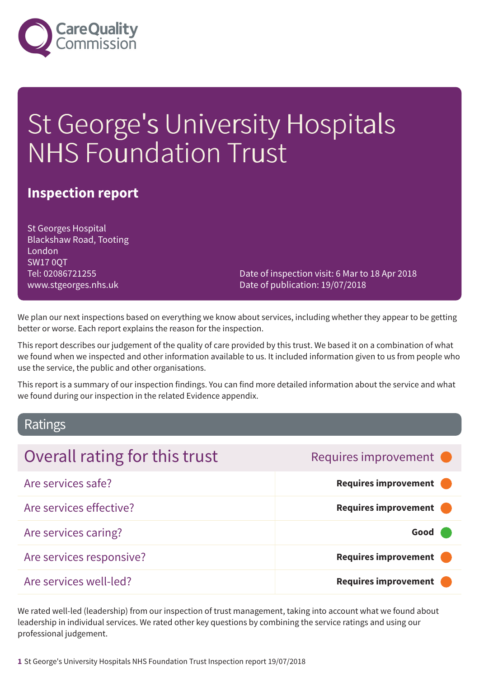

# St George's University Hospitals NHS Foundation Trust

### **Inspection report**

St Georges Hospital Blackshaw Road, Tooting London SW17 0QT Tel: 02086721255 www.stgeorges.nhs.uk

Date of inspection visit: 6 Mar to 18 Apr 2018 Date of publication: 19/07/2018

We plan our next inspections based on everything we know about services, including whether they appear to be getting better or worse. Each report explains the reason for the inspection.

This report describes our judgement of the quality of care provided by this trust. We based it on a combination of what we found when we inspected and other information available to us. It included information given to us from people who use the service, the public and other organisations.

This report is a summary of our inspection findings. You can find more detailed information about the service and what we found during our inspection in the related Evidence appendix.

### Ratings

| Overall rating for this trust | Requires improvement • |
|-------------------------------|------------------------|
| Are services safe?            | Requires improvement   |
| Are services effective?       | Requires improvement   |
| Are services caring?          | Good                   |
| Are services responsive?      | Requires improvement   |
| Are services well-led?        | Requires improvement   |

We rated well-led (leadership) from our inspection of trust management, taking into account what we found about leadership in individual services. We rated other key questions by combining the service ratings and using our professional judgement.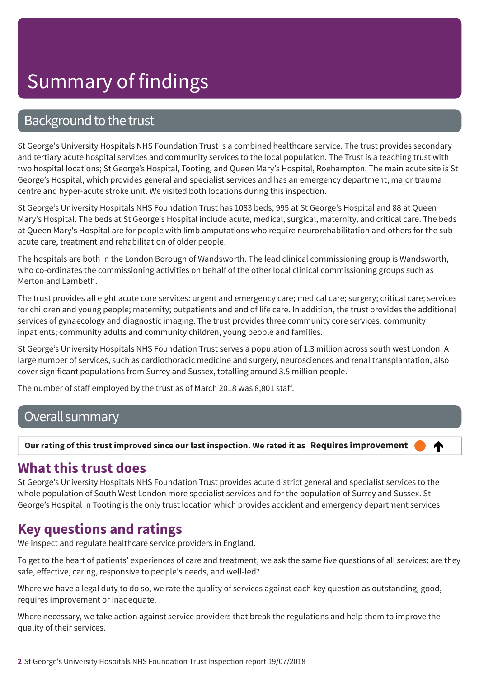### Background to the trust

St George's University Hospitals NHS Foundation Trust is a combined healthcare service. The trust provides secondary and tertiary acute hospital services and community services to the local population. The Trust is a teaching trust with two hospital locations; St George's Hospital, Tooting, and Queen Mary's Hospital, Roehampton. The main acute site is St George's Hospital, which provides general and specialist services and has an emergency department, major trauma centre and hyper-acute stroke unit. We visited both locations during this inspection.

St George's University Hospitals NHS Foundation Trust has 1083 beds; 995 at St George's Hospital and 88 at Queen Mary's Hospital. The beds at St George's Hospital include acute, medical, surgical, maternity, and critical care. The beds at Queen Mary's Hospital are for people with limb amputations who require neurorehabilitation and others for the subacute care, treatment and rehabilitation of older people.

The hospitals are both in the London Borough of Wandsworth. The lead clinical commissioning group is Wandsworth, who co-ordinates the commissioning activities on behalf of the other local clinical commissioning groups such as Merton and Lambeth.

The trust provides all eight acute core services: urgent and emergency care; medical care; surgery; critical care; services for children and young people; maternity; outpatients and end of life care. In addition, the trust provides the additional services of gynaecology and diagnostic imaging. The trust provides three community core services: community inpatients; community adults and community children, young people and families.

St George's University Hospitals NHS Foundation Trust serves a population of 1.3 million across south west London. A large number of services, such as cardiothoracic medicine and surgery, neurosciences and renal transplantation, also cover significant populations from Surrey and Sussex, totalling around 3.5 million people.

The number of staff employed by the trust as of March 2018 was 8,801 staff.

### Overall summary

### Our rating of this trust improved since our last inspection. We rated it as Requires improvement

### ♠

### **What this trust does**

St George's University Hospitals NHS Foundation Trust provides acute district general and specialist services to the whole population of South West London more specialist services and for the population of Surrey and Sussex. St George's Hospital in Tooting is the only trust location which provides accident and emergency department services.

### **Key questions and ratings**

We inspect and regulate healthcare service providers in England.

To get to the heart of patients' experiences of care and treatment, we ask the same five questions of all services: are they safe, effective, caring, responsive to people's needs, and well-led?

Where we have a legal duty to do so, we rate the quality of services against each key question as outstanding, good, requires improvement or inadequate.

Where necessary, we take action against service providers that break the regulations and help them to improve the quality of their services.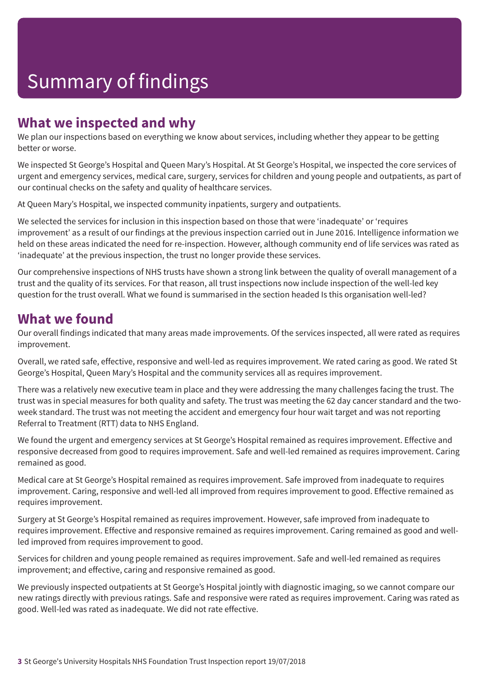### **What we inspected and why**

We plan our inspections based on everything we know about services, including whether they appear to be getting better or worse.

We inspected St George's Hospital and Queen Mary's Hospital. At St George's Hospital, we inspected the core services of urgent and emergency services, medical care, surgery, services for children and young people and outpatients, as part of our continual checks on the safety and quality of healthcare services.

At Queen Mary's Hospital, we inspected community inpatients, surgery and outpatients.

We selected the services for inclusion in this inspection based on those that were 'inadequate' or 'requires improvement' as a result of our findings at the previous inspection carried out in June 2016. Intelligence information we held on these areas indicated the need for re-inspection. However, although community end of life services was rated as 'inadequate' at the previous inspection, the trust no longer provide these services.

Our comprehensive inspections of NHS trusts have shown a strong link between the quality of overall management of a trust and the quality of its services. For that reason, all trust inspections now include inspection of the well-led key question for the trust overall. What we found is summarised in the section headed Is this organisation well-led?

### **What we found**

Our overall findings indicated that many areas made improvements. Of the services inspected, all were rated as requires improvement.

Overall, we rated safe, effective, responsive and well-led as requires improvement. We rated caring as good. We rated St George's Hospital, Queen Mary's Hospital and the community services all as requires improvement.

There was a relatively new executive team in place and they were addressing the many challenges facing the trust. The trust was in special measures for both quality and safety. The trust was meeting the 62 day cancer standard and the twoweek standard. The trust was not meeting the accident and emergency four hour wait target and was not reporting Referral to Treatment (RTT) data to NHS England.

We found the urgent and emergency services at St George's Hospital remained as requires improvement. Effective and responsive decreased from good to requires improvement. Safe and well-led remained as requires improvement. Caring remained as good.

Medical care at St George's Hospital remained as requires improvement. Safe improved from inadequate to requires improvement. Caring, responsive and well-led all improved from requires improvement to good. Effective remained as requires improvement.

Surgery at St George's Hospital remained as requires improvement. However, safe improved from inadequate to requires improvement. Effective and responsive remained as requires improvement. Caring remained as good and wellled improved from requires improvement to good.

Services for children and young people remained as requires improvement. Safe and well-led remained as requires improvement; and effective, caring and responsive remained as good.

We previously inspected outpatients at St George's Hospital jointly with diagnostic imaging, so we cannot compare our new ratings directly with previous ratings. Safe and responsive were rated as requires improvement. Caring was rated as good. Well-led was rated as inadequate. We did not rate effective.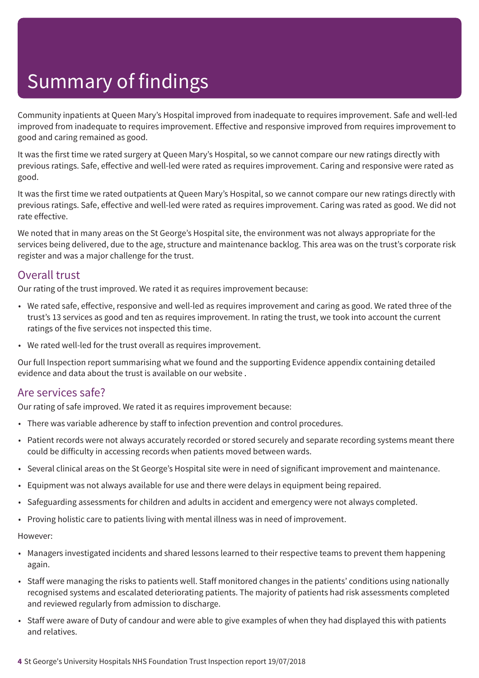Community inpatients at Queen Mary's Hospital improved from inadequate to requires improvement. Safe and well-led improved from inadequate to requires improvement. Effective and responsive improved from requires improvement to good and caring remained as good.

It was the first time we rated surgery at Queen Mary's Hospital, so we cannot compare our new ratings directly with previous ratings. Safe, effective and well-led were rated as requires improvement. Caring and responsive were rated as good.

It was the first time we rated outpatients at Queen Mary's Hospital, so we cannot compare our new ratings directly with previous ratings. Safe, effective and well-led were rated as requires improvement. Caring was rated as good. We did not rate effective.

We noted that in many areas on the St George's Hospital site, the environment was not always appropriate for the services being delivered, due to the age, structure and maintenance backlog. This area was on the trust's corporate risk register and was a major challenge for the trust.

### Overall trust

Our rating of the trust improved. We rated it as requires improvement because:

- We rated safe, effective, responsive and well-led as requires improvement and caring as good. We rated three of the trust's 13 services as good and ten as requires improvement. In rating the trust, we took into account the current ratings of the five services not inspected this time.
- We rated well-led for the trust overall as requires improvement.

Our full Inspection report summarising what we found and the supporting Evidence appendix containing detailed evidence and data about the trust is available on our website .

### Are services safe?

Our rating of safe improved. We rated it as requires improvement because:

- There was variable adherence by staff to infection prevention and control procedures.
- Patient records were not always accurately recorded or stored securely and separate recording systems meant there could be difficulty in accessing records when patients moved between wards.
- Several clinical areas on the St George's Hospital site were in need of significant improvement and maintenance.
- Equipment was not always available for use and there were delays in equipment being repaired.
- Safeguarding assessments for children and adults in accident and emergency were not always completed.
- Proving holistic care to patients living with mental illness was in need of improvement.

- Managers investigated incidents and shared lessons learned to their respective teams to prevent them happening again.
- Staff were managing the risks to patients well. Staff monitored changes in the patients' conditions using nationally recognised systems and escalated deteriorating patients. The majority of patients had risk assessments completed and reviewed regularly from admission to discharge.
- Staff were aware of Duty of candour and were able to give examples of when they had displayed this with patients and relatives.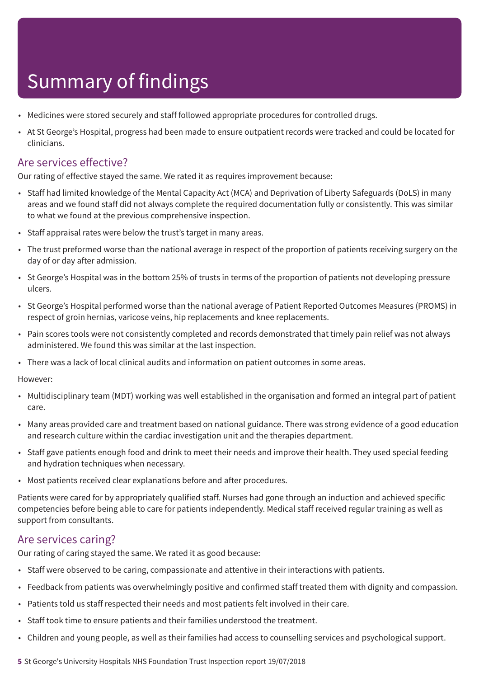- Medicines were stored securely and staff followed appropriate procedures for controlled drugs.
- At St George's Hospital, progress had been made to ensure outpatient records were tracked and could be located for clinicians.

### Are services effective?

Our rating of effective stayed the same. We rated it as requires improvement because:

- Staff had limited knowledge of the Mental Capacity Act (MCA) and Deprivation of Liberty Safeguards (DoLS) in many areas and we found staff did not always complete the required documentation fully or consistently. This was similar to what we found at the previous comprehensive inspection.
- Staff appraisal rates were below the trust's target in many areas.
- The trust preformed worse than the national average in respect of the proportion of patients receiving surgery on the day of or day after admission.
- St George's Hospital was in the bottom 25% of trusts in terms of the proportion of patients not developing pressure ulcers.
- St George's Hospital performed worse than the national average of Patient Reported Outcomes Measures (PROMS) in respect of groin hernias, varicose veins, hip replacements and knee replacements.
- Pain scores tools were not consistently completed and records demonstrated that timely pain relief was not always administered. We found this was similar at the last inspection.
- There was a lack of local clinical audits and information on patient outcomes in some areas.

However:

- Multidisciplinary team (MDT) working was well established in the organisation and formed an integral part of patient care.
- Many areas provided care and treatment based on national guidance. There was strong evidence of a good education and research culture within the cardiac investigation unit and the therapies department.
- Staff gave patients enough food and drink to meet their needs and improve their health. They used special feeding and hydration techniques when necessary.
- Most patients received clear explanations before and after procedures.

Patients were cared for by appropriately qualified staff. Nurses had gone through an induction and achieved specific competencies before being able to care for patients independently. Medical staff received regular training as well as support from consultants.

### Are services caring?

Our rating of caring stayed the same. We rated it as good because:

- Staff were observed to be caring, compassionate and attentive in their interactions with patients.
- Feedback from patients was overwhelmingly positive and confirmed staff treated them with dignity and compassion.
- Patients told us staff respected their needs and most patients felt involved in their care.
- Staff took time to ensure patients and their families understood the treatment.
- Children and young people, as well as their families had access to counselling services and psychological support.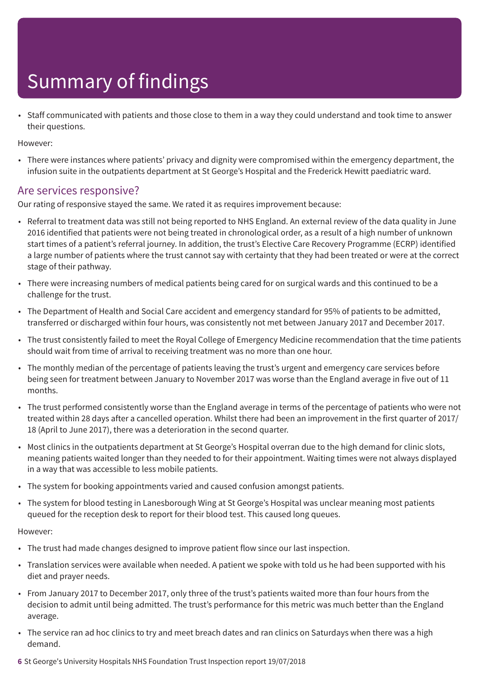• Staff communicated with patients and those close to them in a way they could understand and took time to answer their questions.

However:

• There were instances where patients' privacy and dignity were compromised within the emergency department, the infusion suite in the outpatients department at St George's Hospital and the Frederick Hewitt paediatric ward.

### Are services responsive?

Our rating of responsive stayed the same. We rated it as requires improvement because:

- Referral to treatment data was still not being reported to NHS England. An external review of the data quality in June 2016 identified that patients were not being treated in chronological order, as a result of a high number of unknown start times of a patient's referral journey. In addition, the trust's Elective Care Recovery Programme (ECRP) identified a large number of patients where the trust cannot say with certainty that they had been treated or were at the correct stage of their pathway.
- There were increasing numbers of medical patients being cared for on surgical wards and this continued to be a challenge for the trust.
- The Department of Health and Social Care accident and emergency standard for 95% of patients to be admitted, transferred or discharged within four hours, was consistently not met between January 2017 and December 2017.
- The trust consistently failed to meet the Royal College of Emergency Medicine recommendation that the time patients should wait from time of arrival to receiving treatment was no more than one hour.
- The monthly median of the percentage of patients leaving the trust's urgent and emergency care services before being seen for treatment between January to November 2017 was worse than the England average in five out of 11 months.
- The trust performed consistently worse than the England average in terms of the percentage of patients who were not treated within 28 days after a cancelled operation. Whilst there had been an improvement in the first quarter of 2017/ 18 (April to June 2017), there was a deterioration in the second quarter.
- Most clinics in the outpatients department at St George's Hospital overran due to the high demand for clinic slots, meaning patients waited longer than they needed to for their appointment. Waiting times were not always displayed in a way that was accessible to less mobile patients.
- The system for booking appointments varied and caused confusion amongst patients.
- The system for blood testing in Lanesborough Wing at St George's Hospital was unclear meaning most patients queued for the reception desk to report for their blood test. This caused long queues.

- The trust had made changes designed to improve patient flow since our last inspection.
- Translation services were available when needed. A patient we spoke with told us he had been supported with his diet and prayer needs.
- From January 2017 to December 2017, only three of the trust's patients waited more than four hours from the decision to admit until being admitted. The trust's performance for this metric was much better than the England average.
- The service ran ad hoc clinics to try and meet breach dates and ran clinics on Saturdays when there was a high demand.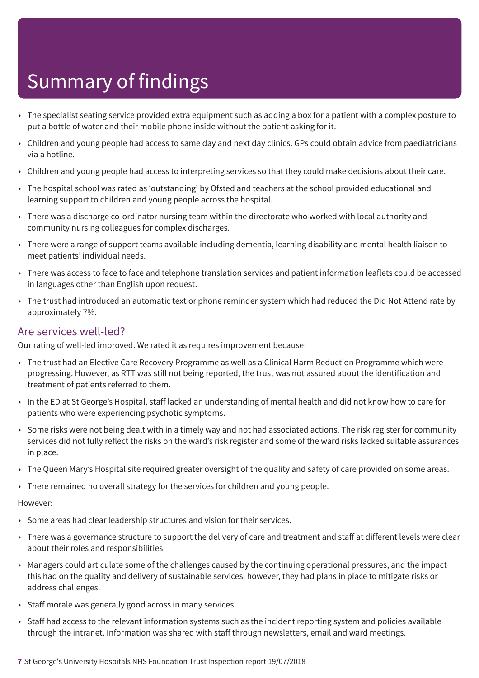- The specialist seating service provided extra equipment such as adding a box for a patient with a complex posture to put a bottle of water and their mobile phone inside without the patient asking for it.
- Children and young people had access to same day and next day clinics. GPs could obtain advice from paediatricians via a hotline.
- Children and young people had access to interpreting services so that they could make decisions about their care.
- The hospital school was rated as 'outstanding' by Ofsted and teachers at the school provided educational and learning support to children and young people across the hospital.
- There was a discharge co-ordinator nursing team within the directorate who worked with local authority and community nursing colleagues for complex discharges.
- There were a range of support teams available including dementia, learning disability and mental health liaison to meet patients' individual needs.
- There was access to face to face and telephone translation services and patient information leaflets could be accessed in languages other than English upon request.
- The trust had introduced an automatic text or phone reminder system which had reduced the Did Not Attend rate by approximately 7%.

### Are services well-led?

Our rating of well-led improved. We rated it as requires improvement because:

- The trust had an Elective Care Recovery Programme as well as a Clinical Harm Reduction Programme which were progressing. However, as RTT was still not being reported, the trust was not assured about the identification and treatment of patients referred to them.
- In the ED at St George's Hospital, staff lacked an understanding of mental health and did not know how to care for patients who were experiencing psychotic symptoms.
- Some risks were not being dealt with in a timely way and not had associated actions. The risk register for community services did not fully reflect the risks on the ward's risk register and some of the ward risks lacked suitable assurances in place.
- The Queen Mary's Hospital site required greater oversight of the quality and safety of care provided on some areas.
- There remained no overall strategy for the services for children and young people.

- Some areas had clear leadership structures and vision for their services.
- There was a governance structure to support the delivery of care and treatment and staff at different levels were clear about their roles and responsibilities.
- Managers could articulate some of the challenges caused by the continuing operational pressures, and the impact this had on the quality and delivery of sustainable services; however, they had plans in place to mitigate risks or address challenges.
- Staff morale was generally good across in many services.
- Staff had access to the relevant information systems such as the incident reporting system and policies available through the intranet. Information was shared with staff through newsletters, email and ward meetings.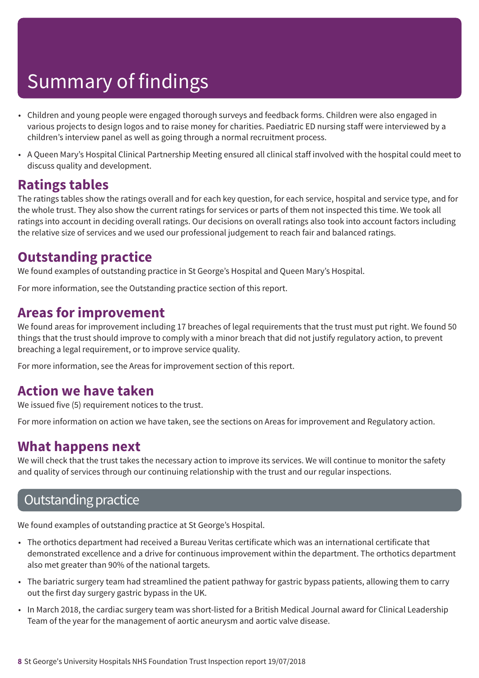- Children and young people were engaged thorough surveys and feedback forms. Children were also engaged in various projects to design logos and to raise money for charities. Paediatric ED nursing staff were interviewed by a children's interview panel as well as going through a normal recruitment process.
- A Queen Mary's Hospital Clinical Partnership Meeting ensured all clinical staff involved with the hospital could meet to discuss quality and development.

### **Ratings tables**

The ratings tables show the ratings overall and for each key question, for each service, hospital and service type, and for the whole trust. They also show the current ratings for services or parts of them not inspected this time. We took all ratings into account in deciding overall ratings. Our decisions on overall ratings also took into account factors including the relative size of services and we used our professional judgement to reach fair and balanced ratings.

### **Outstanding practice**

We found examples of outstanding practice in St George's Hospital and Queen Mary's Hospital.

For more information, see the Outstanding practice section of this report.

### **Areas for improvement**

We found areas for improvement including 17 breaches of legal requirements that the trust must put right. We found 50 things that the trust should improve to comply with a minor breach that did not justify regulatory action, to prevent breaching a legal requirement, or to improve service quality.

For more information, see the Areas for improvement section of this report.

### **Action we have taken**

We issued five (5) requirement notices to the trust.

For more information on action we have taken, see the sections on Areas for improvement and Regulatory action.

### **What happens next**

We will check that the trust takes the necessary action to improve its services. We will continue to monitor the safety and quality of services through our continuing relationship with the trust and our regular inspections.

### **Outstanding practice**

We found examples of outstanding practice at St George's Hospital.

- The orthotics department had received a Bureau Veritas certificate which was an international certificate that demonstrated excellence and a drive for continuous improvement within the department. The orthotics department also met greater than 90% of the national targets.
- The bariatric surgery team had streamlined the patient pathway for gastric bypass patients, allowing them to carry out the first day surgery gastric bypass in the UK.
- In March 2018, the cardiac surgery team was short-listed for a British Medical Journal award for Clinical Leadership Team of the year for the management of aortic aneurysm and aortic valve disease.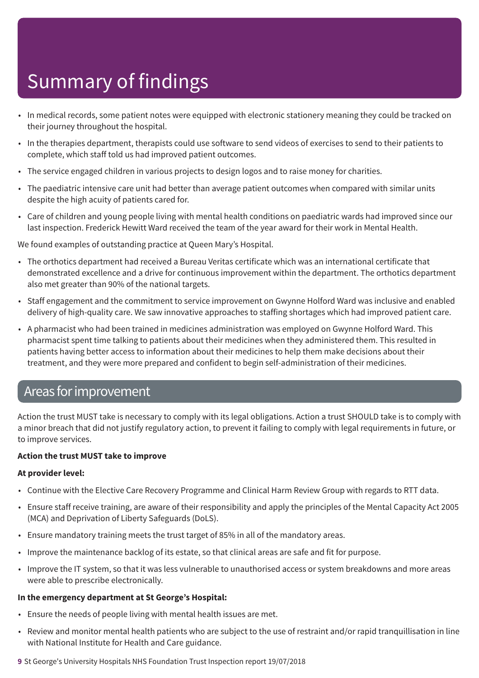- In medical records, some patient notes were equipped with electronic stationery meaning they could be tracked on their journey throughout the hospital.
- In the therapies department, therapists could use software to send videos of exercises to send to their patients to complete, which staff told us had improved patient outcomes.
- The service engaged children in various projects to design logos and to raise money for charities.
- The paediatric intensive care unit had better than average patient outcomes when compared with similar units despite the high acuity of patients cared for.
- Care of children and young people living with mental health conditions on paediatric wards had improved since our last inspection. Frederick Hewitt Ward received the team of the year award for their work in Mental Health.

We found examples of outstanding practice at Queen Mary's Hospital.

- The orthotics department had received a Bureau Veritas certificate which was an international certificate that demonstrated excellence and a drive for continuous improvement within the department. The orthotics department also met greater than 90% of the national targets.
- Staff engagement and the commitment to service improvement on Gwynne Holford Ward was inclusive and enabled delivery of high-quality care. We saw innovative approaches to staffing shortages which had improved patient care.
- A pharmacist who had been trained in medicines administration was employed on Gwynne Holford Ward. This pharmacist spent time talking to patients about their medicines when they administered them. This resulted in patients having better access to information about their medicines to help them make decisions about their treatment, and they were more prepared and confident to begin self-administration of their medicines.

### Areas forimprovement

Action the trust MUST take is necessary to comply with its legal obligations. Action a trust SHOULD take is to comply with a minor breach that did not justify regulatory action, to prevent it failing to comply with legal requirements in future, or to improve services.

### **Action the trust MUST take to improve**

### **At provider level:**

- Continue with the Elective Care Recovery Programme and Clinical Harm Review Group with regards to RTT data.
- Ensure staff receive training, are aware of their responsibility and apply the principles of the Mental Capacity Act 2005 (MCA) and Deprivation of Liberty Safeguards (DoLS).
- Ensure mandatory training meets the trust target of 85% in all of the mandatory areas.
- Improve the maintenance backlog of its estate, so that clinical areas are safe and fit for purpose.
- Improve the IT system, so that it was less vulnerable to unauthorised access or system breakdowns and more areas were able to prescribe electronically.

### **In the emergency department at St George's Hospital:**

- Ensure the needs of people living with mental health issues are met.
- Review and monitor mental health patients who are subject to the use of restraint and/or rapid tranquillisation in line with National Institute for Health and Care guidance.

**9** St George's University Hospitals NHS Foundation Trust Inspection report 19/07/2018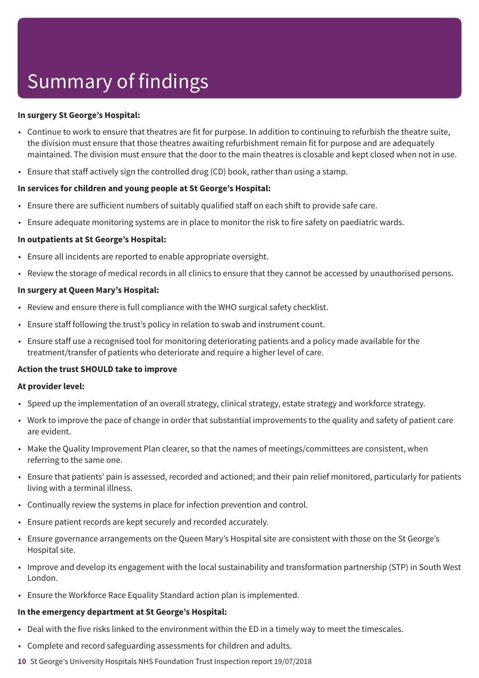#### **In surgery St George's Hospital:**

- Continue to work to ensure that theatres are fit for purpose. In addition to continuing to refurbish the theatre suite, the division must ensure that those theatres awaiting refurbishment remain fit for purpose and are adequately maintained. The division must ensure that the door to the main theatres is closable and kept closed when not in use.
- Ensure that staff actively sign the controlled drug (CD) book, rather than using a stamp.

#### **In services for children and young people at St George's Hospital:**

- Ensure there are sufficient numbers of suitably qualified staff on each shift to provide safe care.
- Ensure adequate monitoring systems are in place to monitor the risk to fire safety on paediatric wards.

#### **In outpatients at St George's Hospital:**

- Ensure all incidents are reported to enable appropriate oversight.
- Review the storage of medical records in all clinics to ensure that they cannot be accessed by unauthorised persons.

#### **In surgery at Queen Mary's Hospital:**

- Review and ensure there is full compliance with the WHO surgical safety checklist.
- Ensure staff following the trust's policy in relation to swab and instrument count.
- Ensure staff use a recognised tool for monitoring deteriorating patients and a policy made available for the treatment/transfer of patients who deteriorate and require a higher level of care.

### **Action the trust SHOULD take to improve**

#### **At provider level:**

- Speed up the implementation of an overall strategy, clinical strategy, estate strategy and workforce strategy.
- Work to improve the pace of change in order that substantial improvements to the quality and safety of patient care are evident.
- Make the Quality Improvement Plan clearer, so that the names of meetings/committees are consistent, when referring to the same one.
- Ensure that patients' pain is assessed, recorded and actioned; and their pain relief monitored, particularly for patients living with a terminal illness.
- Continually review the systems in place for infection prevention and control.
- Ensure patient records are kept securely and recorded accurately.
- Ensure governance arrangements on the Queen Mary's Hospital site are consistent with those on the St George's Hospital site.
- Improve and develop its engagement with the local sustainability and transformation partnership (STP) in South West London.
- Ensure the Workforce Race Equality Standard action plan is implemented.

#### **In the emergency department at St George's Hospital:**

- Deal with the five risks linked to the environment within the ED in a timely way to meet the timescales.
- Complete and record safeguarding assessments for children and adults.
- **10** St George's University Hospitals NHS Foundation Trust Inspection report 19/07/2018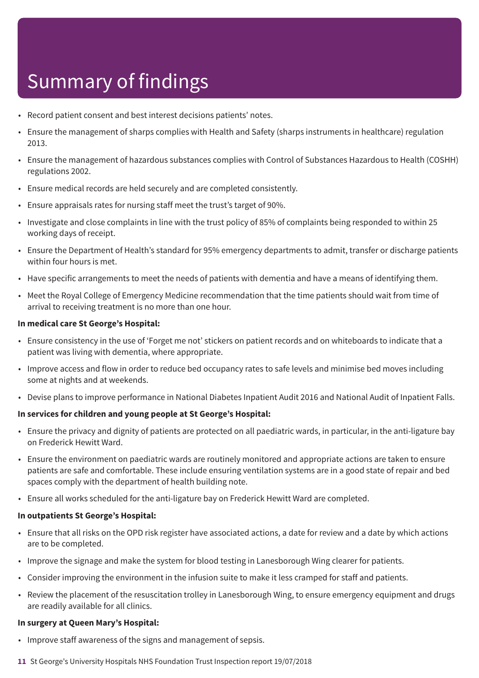- Record patient consent and best interest decisions patients' notes.
- Ensure the management of sharps complies with Health and Safety (sharps instruments in healthcare) regulation 2013.
- Ensure the management of hazardous substances complies with Control of Substances Hazardous to Health (COSHH) regulations 2002.
- Ensure medical records are held securely and are completed consistently.
- Ensure appraisals rates for nursing staff meet the trust's target of 90%.
- Investigate and close complaints in line with the trust policy of 85% of complaints being responded to within 25 working days of receipt.
- Ensure the Department of Health's standard for 95% emergency departments to admit, transfer or discharge patients within four hours is met.
- Have specific arrangements to meet the needs of patients with dementia and have a means of identifying them.
- Meet the Royal College of Emergency Medicine recommendation that the time patients should wait from time of arrival to receiving treatment is no more than one hour.

#### **In medical care St George's Hospital:**

- Ensure consistency in the use of 'Forget me not' stickers on patient records and on whiteboards to indicate that a patient was living with dementia, where appropriate.
- Improve access and flow in order to reduce bed occupancy rates to safe levels and minimise bed moves including some at nights and at weekends.
- Devise plans to improve performance in National Diabetes Inpatient Audit 2016 and National Audit of Inpatient Falls.

### **In services for children and young people at St George's Hospital:**

- Ensure the privacy and dignity of patients are protected on all paediatric wards, in particular, in the anti-ligature bay on Frederick Hewitt Ward.
- Ensure the environment on paediatric wards are routinely monitored and appropriate actions are taken to ensure patients are safe and comfortable. These include ensuring ventilation systems are in a good state of repair and bed spaces comply with the department of health building note.
- Ensure all works scheduled for the anti-ligature bay on Frederick Hewitt Ward are completed.

#### **In outpatients St George's Hospital:**

- Ensure that all risks on the OPD risk register have associated actions, a date for review and a date by which actions are to be completed.
- Improve the signage and make the system for blood testing in Lanesborough Wing clearer for patients.
- Consider improving the environment in the infusion suite to make it less cramped for staff and patients.
- Review the placement of the resuscitation trolley in Lanesborough Wing, to ensure emergency equipment and drugs are readily available for all clinics.

#### **In surgery at Queen Mary's Hospital:**

- Improve staff awareness of the signs and management of sepsis.
- **11** St George's University Hospitals NHS Foundation Trust Inspection report 19/07/2018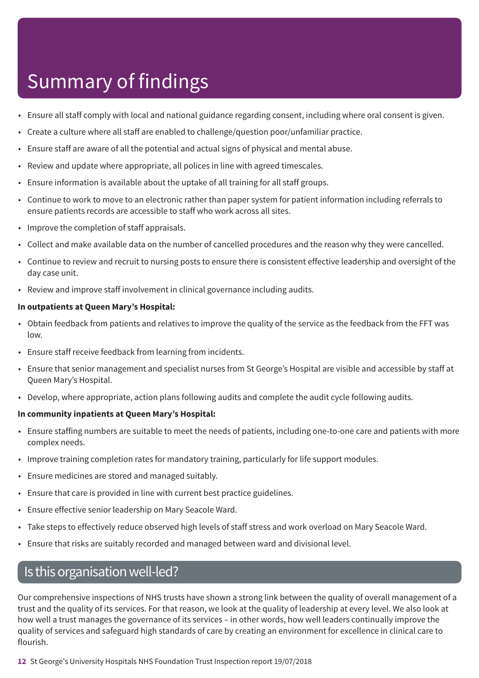- Ensure all staff comply with local and national guidance regarding consent, including where oral consent is given.
- Create a culture where all staff are enabled to challenge/question poor/unfamiliar practice.
- Ensure staff are aware of all the potential and actual signs of physical and mental abuse.
- Review and update where appropriate, all polices in line with agreed timescales.
- Ensure information is available about the uptake of all training for all staff groups.
- Continue to work to move to an electronic rather than paper system for patient information including referrals to ensure patients records are accessible to staff who work across all sites.
- Improve the completion of staff appraisals.
- Collect and make available data on the number of cancelled procedures and the reason why they were cancelled.
- Continue to review and recruit to nursing posts to ensure there is consistent effective leadership and oversight of the day case unit.
- Review and improve staff involvement in clinical governance including audits.

### **In outpatients at Queen Mary's Hospital:**

- Obtain feedback from patients and relatives to improve the quality of the service as the feedback from the FFT was low.
- Ensure staff receive feedback from learning from incidents.
- Ensure that senior management and specialist nurses from St George's Hospital are visible and accessible by staff at Queen Mary's Hospital.
- Develop, where appropriate, action plans following audits and complete the audit cycle following audits.

### **In community inpatients at Queen Mary's Hospital:**

- Ensure staffing numbers are suitable to meet the needs of patients, including one-to-one care and patients with more complex needs.
- Improve training completion rates for mandatory training, particularly for life support modules.
- Ensure medicines are stored and managed suitably.
- Ensure that care is provided in line with current best practice guidelines.
- Ensure effective senior leadership on Mary Seacole Ward.
- Take steps to effectively reduce observed high levels of staff stress and work overload on Mary Seacole Ward.
- Ensure that risks are suitably recorded and managed between ward and divisional level.

### Is this organisation well-led?

Our comprehensive inspections of NHS trusts have shown a strong link between the quality of overall management of a trust and the quality of its services. For that reason, we look at the quality of leadership at every level. We also look at how well a trust manages the governance of its services – in other words, how well leaders continually improve the quality of services and safeguard high standards of care by creating an environment for excellence in clinical care to flourish.

**12** St George's University Hospitals NHS Foundation Trust Inspection report 19/07/2018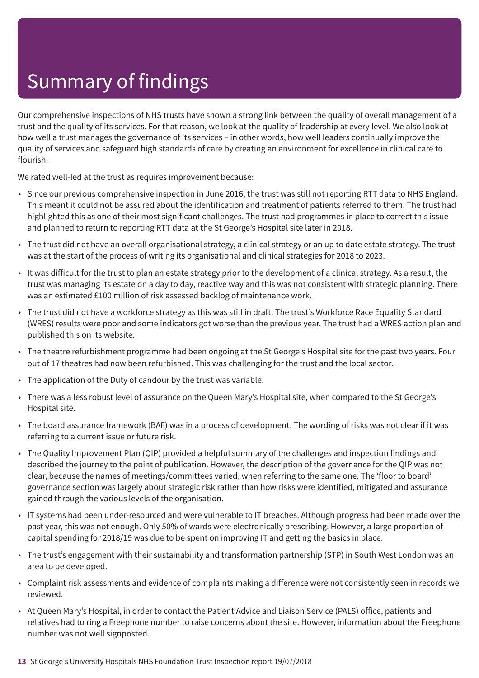Our comprehensive inspections of NHS trusts have shown a strong link between the quality of overall management of a trust and the quality of its services. For that reason, we look at the quality of leadership at every level. We also look at how well a trust manages the governance of its services – in other words, how well leaders continually improve the quality of services and safeguard high standards of care by creating an environment for excellence in clinical care to flourish.

We rated well-led at the trust as requires improvement because:

- Since our previous comprehensive inspection in June 2016, the trust was still not reporting RTT data to NHS England. This meant it could not be assured about the identification and treatment of patients referred to them. The trust had highlighted this as one of their most significant challenges. The trust had programmes in place to correct this issue and planned to return to reporting RTT data at the St George's Hospital site later in 2018.
- The trust did not have an overall organisational strategy, a clinical strategy or an up to date estate strategy. The trust was at the start of the process of writing its organisational and clinical strategies for 2018 to 2023.
- It was difficult for the trust to plan an estate strategy prior to the development of a clinical strategy. As a result, the trust was managing its estate on a day to day, reactive way and this was not consistent with strategic planning. There was an estimated £100 million of risk assessed backlog of maintenance work.
- The trust did not have a workforce strategy as this was still in draft. The trust's Workforce Race Equality Standard (WRES) results were poor and some indicators got worse than the previous year. The trust had a WRES action plan and published this on its website.
- The theatre refurbishment programme had been ongoing at the St George's Hospital site for the past two years. Four out of 17 theatres had now been refurbished. This was challenging for the trust and the local sector.
- The application of the Duty of candour by the trust was variable.
- There was a less robust level of assurance on the Queen Mary's Hospital site, when compared to the St George's Hospital site.
- The board assurance framework (BAF) was in a process of development. The wording of risks was not clear if it was referring to a current issue or future risk.
- The Quality Improvement Plan (QIP) provided a helpful summary of the challenges and inspection findings and described the journey to the point of publication. However, the description of the governance for the QIP was not clear, because the names of meetings/committees varied, when referring to the same one. The 'floor to board' governance section was largely about strategic risk rather than how risks were identified, mitigated and assurance gained through the various levels of the organisation.
- IT systems had been under-resourced and were vulnerable to IT breaches. Although progress had been made over the past year, this was not enough. Only 50% of wards were electronically prescribing. However, a large proportion of capital spending for 2018/19 was due to be spent on improving IT and getting the basics in place.
- The trust's engagement with their sustainability and transformation partnership (STP) in South West London was an area to be developed.
- Complaint risk assessments and evidence of complaints making a difference were not consistently seen in records we reviewed.
- At Queen Mary's Hospital, in order to contact the Patient Advice and Liaison Service (PALS) office, patients and relatives had to ring a Freephone number to raise concerns about the site. However, information about the Freephone number was not well signposted.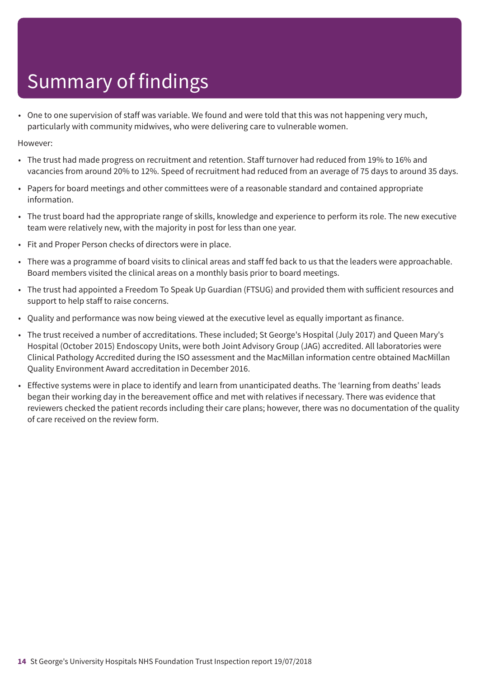• One to one supervision of staff was variable. We found and were told that this was not happening very much, particularly with community midwives, who were delivering care to vulnerable women.

- The trust had made progress on recruitment and retention. Staff turnover had reduced from 19% to 16% and vacancies from around 20% to 12%. Speed of recruitment had reduced from an average of 75 days to around 35 days.
- Papers for board meetings and other committees were of a reasonable standard and contained appropriate information.
- The trust board had the appropriate range of skills, knowledge and experience to perform its role. The new executive team were relatively new, with the majority in post for less than one year.
- Fit and Proper Person checks of directors were in place.
- There was a programme of board visits to clinical areas and staff fed back to us that the leaders were approachable. Board members visited the clinical areas on a monthly basis prior to board meetings.
- The trust had appointed a Freedom To Speak Up Guardian (FTSUG) and provided them with sufficient resources and support to help staff to raise concerns.
- Quality and performance was now being viewed at the executive level as equally important as finance.
- The trust received a number of accreditations. These included; St George's Hospital (July 2017) and Queen Mary's Hospital (October 2015) Endoscopy Units, were both Joint Advisory Group (JAG) accredited. All laboratories were Clinical Pathology Accredited during the ISO assessment and the MacMillan information centre obtained MacMillan Quality Environment Award accreditation in December 2016.
- Effective systems were in place to identify and learn from unanticipated deaths. The 'learning from deaths' leads began their working day in the bereavement office and met with relatives if necessary. There was evidence that reviewers checked the patient records including their care plans; however, there was no documentation of the quality of care received on the review form.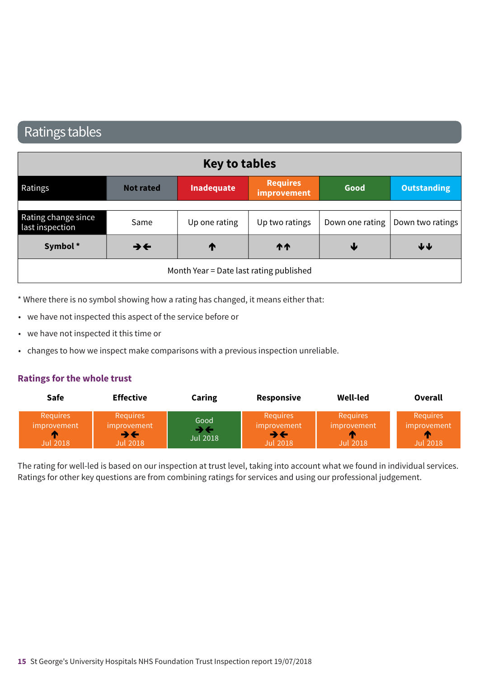### Ratings tables

| <b>Key to tables</b>                    |                          |                   |                                |      |                                    |
|-----------------------------------------|--------------------------|-------------------|--------------------------------|------|------------------------------------|
| Ratings                                 | <b>Not rated</b>         | <b>Inadequate</b> | <b>Requires</b><br>improvement | Good | <b>Outstanding</b>                 |
|                                         |                          |                   |                                |      |                                    |
| Rating change since<br>last inspection  | Same                     | Up one rating     | Up two ratings                 |      | Down one rating   Down two ratings |
| Symbol*                                 | $\rightarrow \leftarrow$ | T                 | <b>11</b>                      | ₩    | ↓↓                                 |
| Month Year = Date last rating published |                          |                   |                                |      |                                    |

\* Where there is no symbol showing how a rating has changed, it means either that:

- we have not inspected this aspect of the service before or
- we have not inspected it this time or
- changes to how we inspect make comparisons with a previous inspection unreliable.

### **Ratings for the whole trust**

| <b>Safe</b>                                              | <b>Effective</b>                                                                | Caring           | Responsive                                       | Well-led                                          | Overall                                    |
|----------------------------------------------------------|---------------------------------------------------------------------------------|------------------|--------------------------------------------------|---------------------------------------------------|--------------------------------------------|
| <b>Requires</b><br><i>improvement</i><br><b>Jul 2018</b> | <b>Requires</b><br>improvement<br>$\rightarrow$ $\leftarrow$<br><b>Jul 2018</b> | Good<br>Jul 2018 | Requires<br>improvement<br>→←<br><b>Jul 2018</b> | <b>Requires</b><br>improvement<br><b>Jul 2018</b> | <b>Requires</b><br>improvement<br>Jul 2018 |

The rating for well-led is based on our inspection at trust level, taking into account what we found in individual services. Ratings for other key questions are from combining ratings for services and using our professional judgement.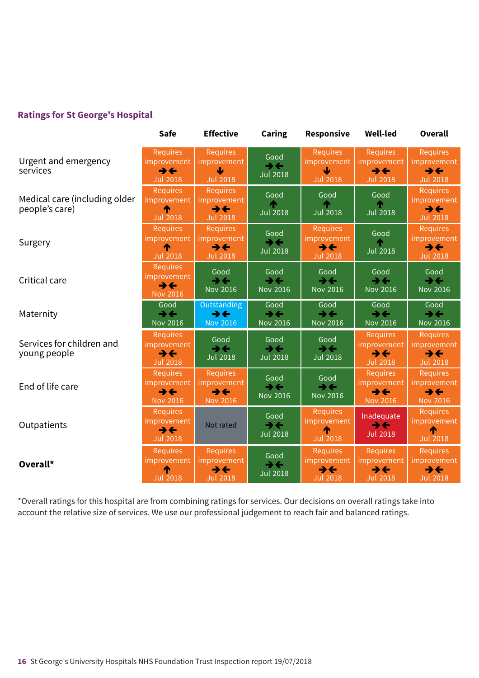### **Ratings for St George's Hospital**

|                                                 | <b>Safe</b>                                                                          | <b>Effective</b>                                                              | <b>Caring</b>                                       | <b>Responsive</b>                                                                    | <b>Well-led</b>                                                               | <b>Overall</b>                                                                |
|-------------------------------------------------|--------------------------------------------------------------------------------------|-------------------------------------------------------------------------------|-----------------------------------------------------|--------------------------------------------------------------------------------------|-------------------------------------------------------------------------------|-------------------------------------------------------------------------------|
| Urgent and emergency<br>services                | <b>Requires</b><br><i>improvement</i><br>$\rightarrow \leftarrow$<br><b>Jul 2018</b> | <b>Requires</b><br>improvement<br>ψ<br><b>Jul 2018</b>                        | Good<br>$\rightarrow \leftarrow$<br><b>Jul 2018</b> | <b>Requires</b><br>improvement<br><b>Jul 2018</b>                                    | <b>Requires</b><br>improvement<br>$\rightarrow \leftarrow$<br><b>Jul 2018</b> | <b>Requires</b><br>improvement<br>$\rightarrow \leftarrow$<br><b>Jul 2018</b> |
| Medical care (including older<br>people's care) | Requires<br><i>improvement</i><br><b>Jul 2018</b>                                    | <b>Requires</b><br>improvement<br>$\rightarrow \leftarrow$<br><b>Jul 2018</b> | Good<br><b>Jul 2018</b>                             | Good<br><b>Jul 2018</b>                                                              | Good<br><b>Jul 2018</b>                                                       | <b>Requires</b><br>improvement<br>$\rightarrow$<br><b>Jul 2018</b>            |
| Surgery                                         | <b>Requires</b><br>improvement<br><b>Jul 2018</b>                                    | <b>Requires</b><br>improvement<br>$\rightarrow \leftarrow$<br><b>Jul 2018</b> | Good<br>$\rightarrow \leftarrow$<br><b>Jul 2018</b> | <b>Requires</b><br>improvement<br>$\rightarrow \leftarrow$<br><b>Jul 2018</b>        | Good<br><b>Jul 2018</b>                                                       | <b>Requires</b><br>improvement<br>$\rightarrow \leftarrow$<br><b>Jul 2018</b> |
| Critical care                                   | <b>Requires</b><br>improvement<br>$\rightarrow$ $\leftarrow$<br><b>Nov 2016</b>      | Good<br>$\rightarrow \leftarrow$<br><b>Nov 2016</b>                           | Good<br>$\rightarrow \leftarrow$<br>Nov 2016        | Good<br>$\rightarrow \leftarrow$<br><b>Nov 2016</b>                                  | Good<br>$\rightarrow \leftarrow$<br><b>Nov 2016</b>                           | Good<br>$\rightarrow \leftarrow$<br><b>Nov 2016</b>                           |
| Maternity                                       | Good<br>$\rightarrow$<br><b>Nov 2016</b>                                             | Outstanding<br>$\rightarrow \leftarrow$<br><b>Nov 2016</b>                    | Good<br>$\rightarrow$ $\leftarrow$<br>Nov 2016      | Good<br>$\rightarrow \leftarrow$<br><b>Nov 2016</b>                                  | Good<br>$\rightarrow \leftarrow$<br><b>Nov 2016</b>                           | Good<br>$\rightarrow \leftarrow$<br><b>Nov 2016</b>                           |
| Services for children and<br>young people       | <b>Requires</b><br><i>improvement</i><br>$\rightarrow \leftarrow$<br><b>Jul 2018</b> | Good<br>$\rightarrow \leftarrow$<br><b>Jul 2018</b>                           | Good<br>$\rightarrow \leftarrow$<br><b>Jul 2018</b> | Good<br>$\rightarrow \leftarrow$<br><b>Jul 2018</b>                                  | <b>Requires</b><br>improvement<br>$\rightarrow \leftarrow$<br><b>Jul 2018</b> | <b>Requires</b><br>improvement<br>$\rightarrow \leftarrow$<br><b>Jul 2018</b> |
| End of life care                                | <b>Requires</b><br><i>improvement</i><br>$\rightarrow \leftarrow$<br><b>Nov 2016</b> | <b>Requires</b><br>improvement<br>$\rightarrow \leftarrow$<br><b>Nov 2016</b> | Good<br>$\rightarrow \leftarrow$<br>Nov 2016        | Good<br>$\rightarrow$<br><b>Nov 2016</b>                                             | <b>Requires</b><br>improvement<br>$\rightarrow \leftarrow$<br>Nov 2016        | <b>Requires</b><br>improvement<br>$\rightarrow \leftarrow$<br><b>Nov 2016</b> |
| Outpatients                                     | <b>Requires</b><br>improvement<br>$\rightarrow \leftarrow$<br><b>Jul 2018</b>        | Not rated                                                                     | Good<br>$\rightarrow$<br><b>Jul 2018</b>            | <b>Requires</b><br>improvement<br><b>Jul 2018</b>                                    | Inadequate<br>$\rightarrow \leftarrow$<br><b>Jul 2018</b>                     | <b>Requires</b><br>improvement<br><b>Jul 2018</b>                             |
| Overall*                                        | <b>Requires</b><br>improvement<br>T<br><b>Jul 2018</b>                               | <b>Requires</b><br>improvement<br>$\rightarrow \leftarrow$<br><b>Jul 2018</b> | Good<br>$\rightarrow \leftarrow$<br><b>Jul 2018</b> | <b>Requires</b><br><i>improvement</i><br>$\rightarrow \leftarrow$<br><b>Jul 2018</b> | Requires<br>improvement<br>$\rightarrow \leftarrow$<br><b>Jul 2018</b>        | <b>Requires</b><br>improvement<br>$\rightarrow \leftarrow$<br><b>Jul 2018</b> |

\*Overall ratings for this hospital are from combining ratings for services. Our decisions on overall ratings take into account the relative size of services. We use our professional judgement to reach fair and balanced ratings.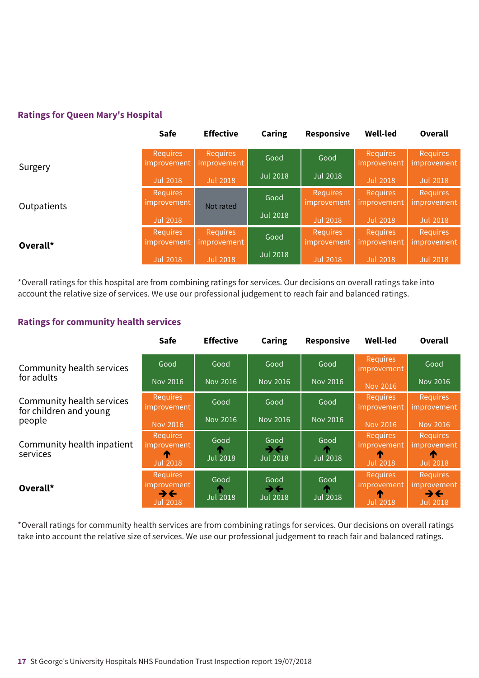### **Ratings for Queen Mary's Hospital**

|             | <b>Safe</b>                    | <b>Effective</b>               | Caring          | Responsive                     | <b>Well-led</b>                | <b>Overall</b>                        |
|-------------|--------------------------------|--------------------------------|-----------------|--------------------------------|--------------------------------|---------------------------------------|
| Surgery     | <b>Requires</b><br>improvement | <b>Requires</b><br>improvement | Good            | Good                           | <b>Requires</b><br>improvement | <b>Requires</b><br><i>improvement</i> |
|             | <b>Jul 2018</b>                | <b>Jul 2018</b>                | <b>Jul 2018</b> | <b>Jul 2018</b>                | <b>Jul 2018</b>                | <b>Jul 2018</b>                       |
| Outpatients | <b>Requires</b><br>improvement | Not rated                      | Good            | <b>Requires</b><br>improvement | <b>Requires</b><br>improvement | <b>Requires</b><br><i>improvement</i> |
|             | <b>Jul 2018</b>                |                                | Jul 2018        | <b>Jul 2018</b>                | <b>Jul 2018</b>                | <b>Jul 2018</b>                       |
| Overall*    | <b>Requires</b><br>improvement | <b>Requires</b><br>improvement | Good            | <b>Requires</b><br>improvement | <b>Requires</b><br>improvement | <b>Requires</b><br><i>improvement</i> |
|             | <b>Jul 2018</b>                | <b>Jul 2018</b>                | <b>Jul 2018</b> | <b>Jul 2018</b>                | <b>Jul 2018</b>                | <b>Jul 2018</b>                       |

\*Overall ratings for this hospital are from combining ratings for services. Our decisions on overall ratings take into account the relative size of services. We use our professional judgement to reach fair and balanced ratings.

### **Ratings for community health services**

|                                                               | <b>Safe</b>                                                    | <b>Effective</b>        | Caring                                                | <b>Responsive</b>     | <b>Well-led</b>                                        | Overall                                                        |
|---------------------------------------------------------------|----------------------------------------------------------------|-------------------------|-------------------------------------------------------|-----------------------|--------------------------------------------------------|----------------------------------------------------------------|
| Community health services<br>for adults                       | Good                                                           | Good                    | Good                                                  | Good                  | <b>Requires</b><br>improvement                         | Good                                                           |
|                                                               | <b>Nov 2016</b>                                                | Nov 2016                | Nov 2016                                              | <b>Nov 2016</b>       | <b>Nov 2016</b>                                        | Nov 2016                                                       |
| Community health services<br>for children and young<br>people | <b>Requires</b><br><i>improvement</i>                          | Good                    | Good                                                  | Good                  | <b>Requires</b><br>improvement                         | <b>Requires</b><br><i>improvement</i>                          |
|                                                               | <b>Nov 2016</b>                                                | <b>Nov 2016</b>         | <b>Nov 2016</b>                                       | <b>Nov 2016</b>       | <b>Nov 2016</b>                                        | <b>Nov 2016</b>                                                |
| Community health inpatient<br>services                        | <b>Requires</b><br>improvement<br>T<br><b>Jul 2018</b>         | Good<br><b>Jul 2018</b> | Good<br>$\rightarrow$ $\leftarrow$<br><b>Jul 2018</b> | Good<br>æ<br>Jul 2018 | <b>Requires</b><br>improvement<br>T<br><b>Jul 2018</b> | <b>Requires</b><br>improvement<br>T<br><b>Jul 2018</b>         |
| Overall*                                                      | <b>Requires</b><br><i>improvement</i><br>→←<br><b>Jul 2018</b> | Good<br><b>Jul 2018</b> | Good<br>$\rightarrow$ $\leftarrow$<br><b>Jul 2018</b> | Good<br>Jul 2018      | <b>Requires</b><br>improvement<br>m<br><b>Jul 2018</b> | <b>Requires</b><br>improvement<br><b>BE</b><br><b>Jul 2018</b> |

\*Overall ratings for community health services are from combining ratings for services. Our decisions on overall ratings take into account the relative size of services. We use our professional judgement to reach fair and balanced ratings.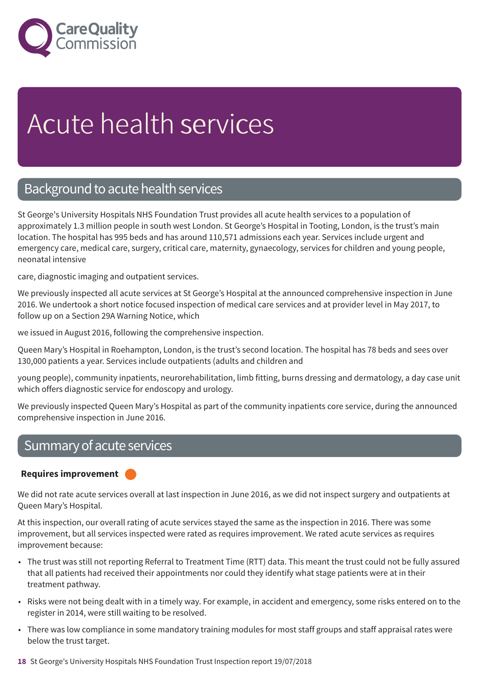

# Acute health services

### Background to acute health services

St George's University Hospitals NHS Foundation Trust provides all acute health services to a population of approximately 1.3 million people in south west London. St George's Hospital in Tooting, London, is the trust's main location. The hospital has 995 beds and has around 110,571 admissions each year. Services include urgent and emergency care, medical care, surgery, critical care, maternity, gynaecology, services for children and young people, neonatal intensive

care, diagnostic imaging and outpatient services.

We previously inspected all acute services at St George's Hospital at the announced comprehensive inspection in June 2016. We undertook a short notice focused inspection of medical care services and at provider level in May 2017, to follow up on a Section 29A Warning Notice, which

we issued in August 2016, following the comprehensive inspection.

Queen Mary's Hospital in Roehampton, London, is the trust's second location. The hospital has 78 beds and sees over 130,000 patients a year. Services include outpatients (adults and children and

young people), community inpatients, neurorehabilitation, limb fitting, burns dressing and dermatology, a day case unit which offers diagnostic service for endoscopy and urology.

We previously inspected Queen Mary's Hospital as part of the community inpatients core service, during the announced comprehensive inspection in June 2016.

### Summary of acute services

### **Requires improvement –––**

We did not rate acute services overall at last inspection in June 2016, as we did not inspect surgery and outpatients at Queen Mary's Hospital.

At this inspection, our overall rating of acute services stayed the same as the inspection in 2016. There was some improvement, but all services inspected were rated as requires improvement. We rated acute services as requires improvement because:

- The trust was still not reporting Referral to Treatment Time (RTT) data. This meant the trust could not be fully assured that all patients had received their appointments nor could they identify what stage patients were at in their treatment pathway.
- Risks were not being dealt with in a timely way. For example, in accident and emergency, some risks entered on to the register in 2014, were still waiting to be resolved.
- There was low compliance in some mandatory training modules for most staff groups and staff appraisal rates were below the trust target.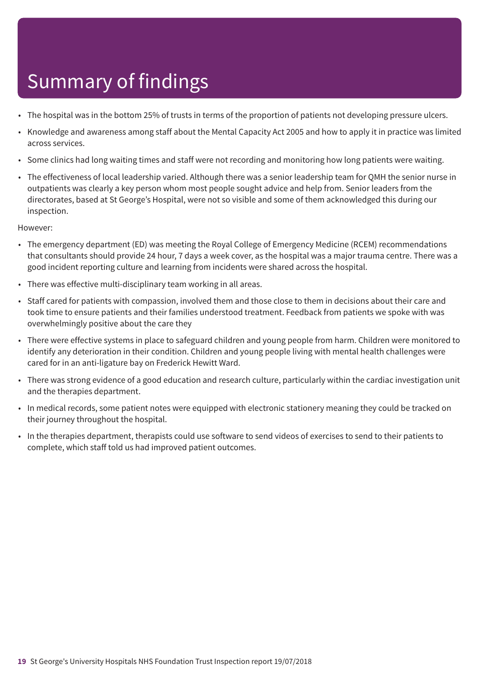- The hospital was in the bottom 25% of trusts in terms of the proportion of patients not developing pressure ulcers.
- Knowledge and awareness among staff about the Mental Capacity Act 2005 and how to apply it in practice was limited across services.
- Some clinics had long waiting times and staff were not recording and monitoring how long patients were waiting.
- The effectiveness of local leadership varied. Although there was a senior leadership team for QMH the senior nurse in outpatients was clearly a key person whom most people sought advice and help from. Senior leaders from the directorates, based at St George's Hospital, were not so visible and some of them acknowledged this during our inspection.

- The emergency department (ED) was meeting the Royal College of Emergency Medicine (RCEM) recommendations that consultants should provide 24 hour, 7 days a week cover, as the hospital was a major trauma centre. There was a good incident reporting culture and learning from incidents were shared across the hospital.
- There was effective multi-disciplinary team working in all areas.
- Staff cared for patients with compassion, involved them and those close to them in decisions about their care and took time to ensure patients and their families understood treatment. Feedback from patients we spoke with was overwhelmingly positive about the care they
- There were effective systems in place to safeguard children and young people from harm. Children were monitored to identify any deterioration in their condition. Children and young people living with mental health challenges were cared for in an anti-ligature bay on Frederick Hewitt Ward.
- There was strong evidence of a good education and research culture, particularly within the cardiac investigation unit and the therapies department.
- In medical records, some patient notes were equipped with electronic stationery meaning they could be tracked on their journey throughout the hospital.
- In the therapies department, therapists could use software to send videos of exercises to send to their patients to complete, which staff told us had improved patient outcomes.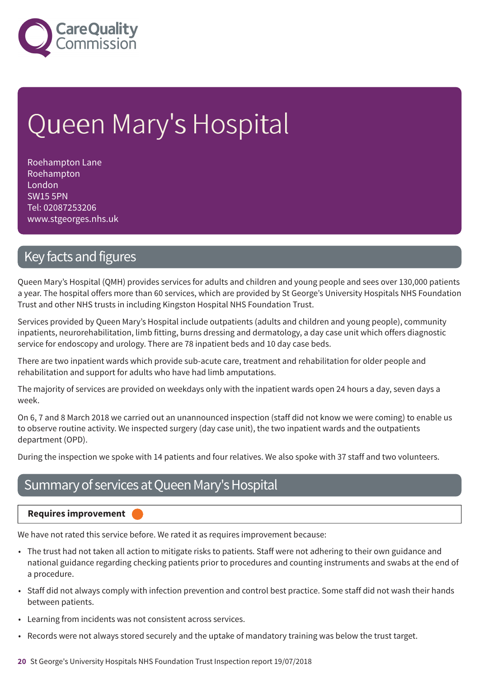

# Queen Mary's Hospital

Roehampton Lane Roehampton London SW15 5PN Tel: 02087253206 www.stgeorges.nhs.uk

### Key facts and figures

Queen Mary's Hospital (QMH) provides services for adults and children and young people and sees over 130,000 patients a year. The hospital offers more than 60 services, which are provided by St George's University Hospitals NHS Foundation Trust and other NHS trusts in including Kingston Hospital NHS Foundation Trust.

Services provided by Queen Mary's Hospital include outpatients (adults and children and young people), community inpatients, neurorehabilitation, limb fitting, burns dressing and dermatology, a day case unit which offers diagnostic service for endoscopy and urology. There are 78 inpatient beds and 10 day case beds.

There are two inpatient wards which provide sub-acute care, treatment and rehabilitation for older people and rehabilitation and support for adults who have had limb amputations.

The majority of services are provided on weekdays only with the inpatient wards open 24 hours a day, seven days a week.

On 6, 7 and 8 March 2018 we carried out an unannounced inspection (staff did not know we were coming) to enable us to observe routine activity. We inspected surgery (day case unit), the two inpatient wards and the outpatients department (OPD).

During the inspection we spoke with 14 patients and four relatives. We also spoke with 37 staff and two volunteers.

### Summary of services at Queen Mary's Hospital

**Requires improvement –––**

We have not rated this service before. We rated it as requires improvement because:

- The trust had not taken all action to mitigate risks to patients. Staff were not adhering to their own guidance and national guidance regarding checking patients prior to procedures and counting instruments and swabs at the end of a procedure.
- Staff did not always comply with infection prevention and control best practice. Some staff did not wash their hands between patients.
- Learning from incidents was not consistent across services.
- Records were not always stored securely and the uptake of mandatory training was below the trust target.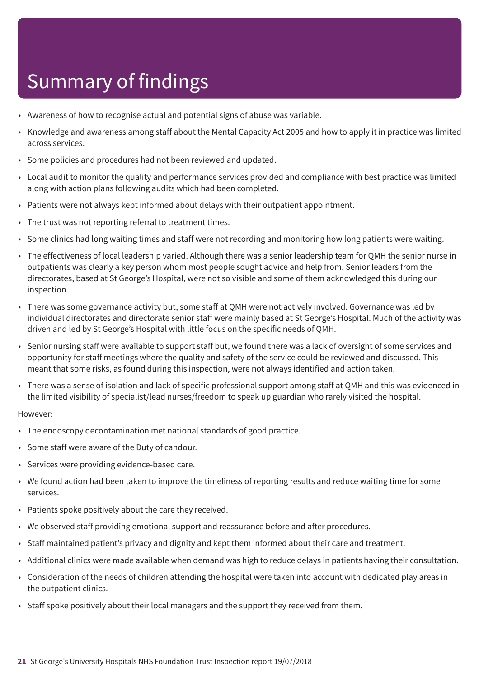- Awareness of how to recognise actual and potential signs of abuse was variable.
- Knowledge and awareness among staff about the Mental Capacity Act 2005 and how to apply it in practice was limited across services.
- Some policies and procedures had not been reviewed and updated.
- Local audit to monitor the quality and performance services provided and compliance with best practice was limited along with action plans following audits which had been completed.
- Patients were not always kept informed about delays with their outpatient appointment.
- The trust was not reporting referral to treatment times.
- Some clinics had long waiting times and staff were not recording and monitoring how long patients were waiting.
- The effectiveness of local leadership varied. Although there was a senior leadership team for QMH the senior nurse in outpatients was clearly a key person whom most people sought advice and help from. Senior leaders from the directorates, based at St George's Hospital, were not so visible and some of them acknowledged this during our inspection.
- There was some governance activity but, some staff at QMH were not actively involved. Governance was led by individual directorates and directorate senior staff were mainly based at St George's Hospital. Much of the activity was driven and led by St George's Hospital with little focus on the specific needs of QMH.
- Senior nursing staff were available to support staff but, we found there was a lack of oversight of some services and opportunity for staff meetings where the quality and safety of the service could be reviewed and discussed. This meant that some risks, as found during this inspection, were not always identified and action taken.
- There was a sense of isolation and lack of specific professional support among staff at QMH and this was evidenced in the limited visibility of specialist/lead nurses/freedom to speak up guardian who rarely visited the hospital.

- The endoscopy decontamination met national standards of good practice.
- Some staff were aware of the Duty of candour.
- Services were providing evidence-based care.
- We found action had been taken to improve the timeliness of reporting results and reduce waiting time for some services.
- Patients spoke positively about the care they received.
- We observed staff providing emotional support and reassurance before and after procedures.
- Staff maintained patient's privacy and dignity and kept them informed about their care and treatment.
- Additional clinics were made available when demand was high to reduce delays in patients having their consultation.
- Consideration of the needs of children attending the hospital were taken into account with dedicated play areas in the outpatient clinics.
- Staff spoke positively about their local managers and the support they received from them.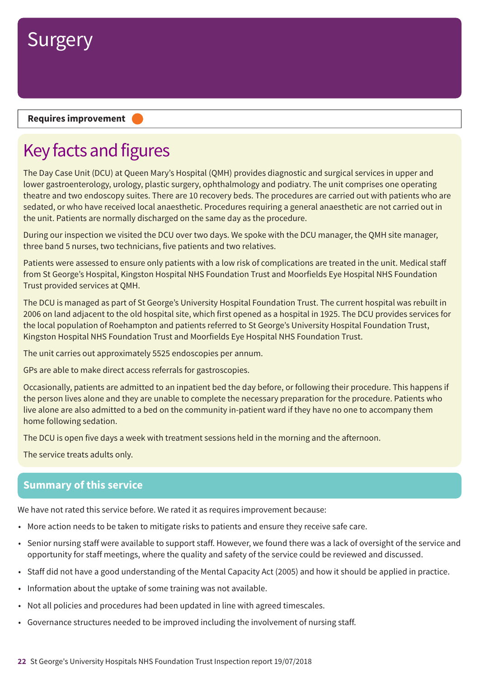

#### **Requires improvement –––**

## Key facts and figures

The Day Case Unit (DCU) at Queen Mary's Hospital (QMH) provides diagnostic and surgical services in upper and lower gastroenterology, urology, plastic surgery, ophthalmology and podiatry. The unit comprises one operating theatre and two endoscopy suites. There are 10 recovery beds. The procedures are carried out with patients who are sedated, or who have received local anaesthetic. Procedures requiring a general anaesthetic are not carried out in the unit. Patients are normally discharged on the same day as the procedure.

During our inspection we visited the DCU over two days. We spoke with the DCU manager, the QMH site manager, three band 5 nurses, two technicians, five patients and two relatives.

Patients were assessed to ensure only patients with a low risk of complications are treated in the unit. Medical staff from St George's Hospital, Kingston Hospital NHS Foundation Trust and Moorfields Eye Hospital NHS Foundation Trust provided services at QMH.

The DCU is managed as part of St George's University Hospital Foundation Trust. The current hospital was rebuilt in 2006 on land adjacent to the old hospital site, which first opened as a hospital in 1925. The DCU provides services for the local population of Roehampton and patients referred to St George's University Hospital Foundation Trust, Kingston Hospital NHS Foundation Trust and Moorfields Eye Hospital NHS Foundation Trust.

The unit carries out approximately 5525 endoscopies per annum.

GPs are able to make direct access referrals for gastroscopies.

Occasionally, patients are admitted to an inpatient bed the day before, or following their procedure. This happens if the person lives alone and they are unable to complete the necessary preparation for the procedure. Patients who live alone are also admitted to a bed on the community in-patient ward if they have no one to accompany them home following sedation.

The DCU is open five days a week with treatment sessions held in the morning and the afternoon.

The service treats adults only.

### **Summary of this service**

We have not rated this service before. We rated it as requires improvement because:

- More action needs to be taken to mitigate risks to patients and ensure they receive safe care.
- Senior nursing staff were available to support staff. However, we found there was a lack of oversight of the service and opportunity for staff meetings, where the quality and safety of the service could be reviewed and discussed.
- Staff did not have a good understanding of the Mental Capacity Act (2005) and how it should be applied in practice.
- Information about the uptake of some training was not available.
- Not all policies and procedures had been updated in line with agreed timescales.
- Governance structures needed to be improved including the involvement of nursing staff.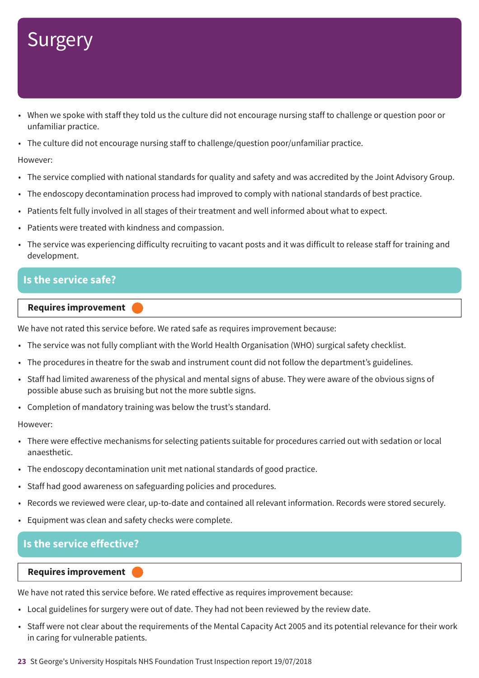- When we spoke with staff they told us the culture did not encourage nursing staff to challenge or question poor or unfamiliar practice.
- The culture did not encourage nursing staff to challenge/question poor/unfamiliar practice.

#### However:

- The service complied with national standards for quality and safety and was accredited by the Joint Advisory Group.
- The endoscopy decontamination process had improved to comply with national standards of best practice.
- Patients felt fully involved in all stages of their treatment and well informed about what to expect.
- Patients were treated with kindness and compassion.
- The service was experiencing difficulty recruiting to vacant posts and it was difficult to release staff for training and development.

### **Is the service safe?**

#### **Requires improvement –––**

We have not rated this service before. We rated safe as requires improvement because:

- The service was not fully compliant with the World Health Organisation (WHO) surgical safety checklist.
- The procedures in theatre for the swab and instrument count did not follow the department's guidelines.
- Staff had limited awareness of the physical and mental signs of abuse. They were aware of the obvious signs of possible abuse such as bruising but not the more subtle signs.
- Completion of mandatory training was below the trust's standard.

#### However:

- There were effective mechanisms for selecting patients suitable for procedures carried out with sedation or local anaesthetic.
- The endoscopy decontamination unit met national standards of good practice.
- Staff had good awareness on safeguarding policies and procedures.
- Records we reviewed were clear, up-to-date and contained all relevant information. Records were stored securely.
- Equipment was clean and safety checks were complete.

### **Is the service effective?**

#### **Requires improvement –––**

We have not rated this service before. We rated effective as requires improvement because:

- Local guidelines for surgery were out of date. They had not been reviewed by the review date.
- Staff were not clear about the requirements of the Mental Capacity Act 2005 and its potential relevance for their work in caring for vulnerable patients.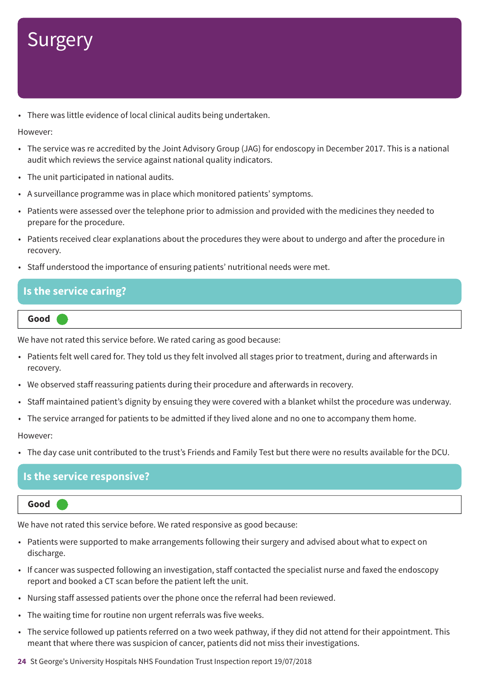• There was little evidence of local clinical audits being undertaken.

However:

- The service was re accredited by the Joint Advisory Group (JAG) for endoscopy in December 2017. This is a national audit which reviews the service against national quality indicators.
- The unit participated in national audits.
- A surveillance programme was in place which monitored patients' symptoms.
- Patients were assessed over the telephone prior to admission and provided with the medicines they needed to prepare for the procedure.
- Patients received clear explanations about the procedures they were about to undergo and after the procedure in recovery.
- Staff understood the importance of ensuring patients' nutritional needs were met.

### **Is the service caring?**

**Good –––**

We have not rated this service before. We rated caring as good because:

- Patients felt well cared for. They told us they felt involved all stages prior to treatment, during and afterwards in recovery.
- We observed staff reassuring patients during their procedure and afterwards in recovery.
- Staff maintained patient's dignity by ensuing they were covered with a blanket whilst the procedure was underway.
- The service arranged for patients to be admitted if they lived alone and no one to accompany them home.

However:

• The day case unit contributed to the trust's Friends and Family Test but there were no results available for the DCU.

### **Is the service responsive?**

#### **Good –––**

We have not rated this service before. We rated responsive as good because:

- Patients were supported to make arrangements following their surgery and advised about what to expect on discharge.
- If cancer was suspected following an investigation, staff contacted the specialist nurse and faxed the endoscopy report and booked a CT scan before the patient left the unit.
- Nursing staff assessed patients over the phone once the referral had been reviewed.
- The waiting time for routine non urgent referrals was five weeks.
- The service followed up patients referred on a two week pathway, if they did not attend for their appointment. This meant that where there was suspicion of cancer, patients did not miss their investigations.

**24** St George's University Hospitals NHS Foundation Trust Inspection report 19/07/2018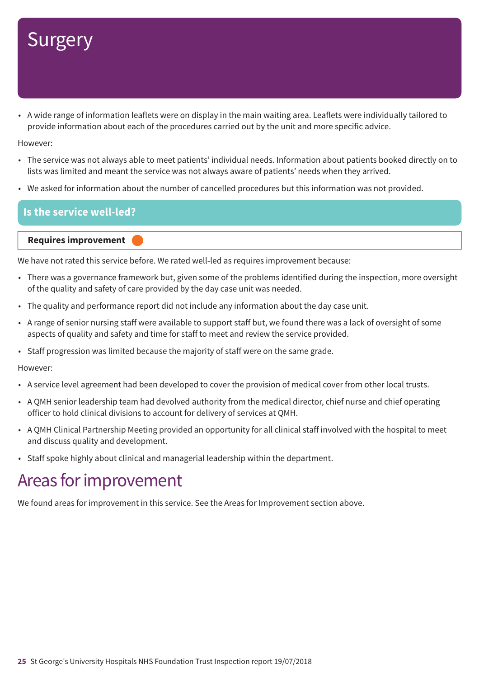• A wide range of information leaflets were on display in the main waiting area. Leaflets were individually tailored to provide information about each of the procedures carried out by the unit and more specific advice.

However:

- The service was not always able to meet patients' individual needs. Information about patients booked directly on to lists was limited and meant the service was not always aware of patients' needs when they arrived.
- We asked for information about the number of cancelled procedures but this information was not provided.

### **Is the service well-led?**

#### **Requires improvement –––**

We have not rated this service before. We rated well-led as requires improvement because:

- There was a governance framework but, given some of the problems identified during the inspection, more oversight of the quality and safety of care provided by the day case unit was needed.
- The quality and performance report did not include any information about the day case unit.
- A range of senior nursing staff were available to support staff but, we found there was a lack of oversight of some aspects of quality and safety and time for staff to meet and review the service provided.
- Staff progression was limited because the majority of staff were on the same grade.

However:

- A service level agreement had been developed to cover the provision of medical cover from other local trusts.
- A QMH senior leadership team had devolved authority from the medical director, chief nurse and chief operating officer to hold clinical divisions to account for delivery of services at QMH.
- A QMH Clinical Partnership Meeting provided an opportunity for all clinical staff involved with the hospital to meet and discuss quality and development.
- Staff spoke highly about clinical and managerial leadership within the department.

### Areas for improvement

We found areas for improvement in this service. See the Areas for Improvement section above.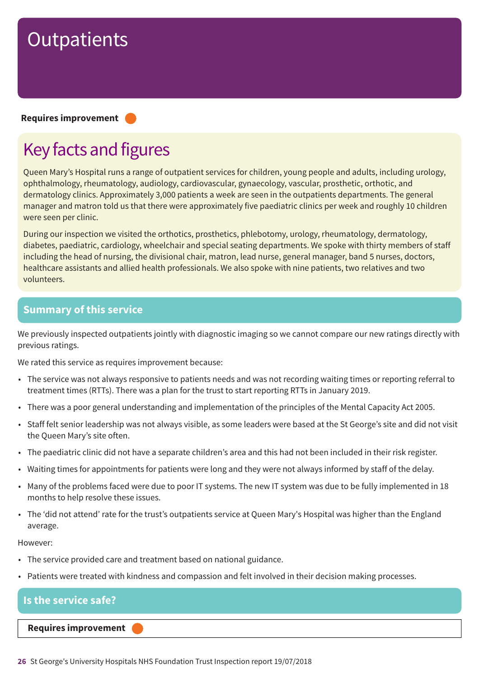#### **Requires improvement –––**

## Key facts and figures

Queen Mary's Hospital runs a range of outpatient services for children, young people and adults, including urology, ophthalmology, rheumatology, audiology, cardiovascular, gynaecology, vascular, prosthetic, orthotic, and dermatology clinics. Approximately 3,000 patients a week are seen in the outpatients departments. The general manager and matron told us that there were approximately five paediatric clinics per week and roughly 10 children were seen per clinic.

During our inspection we visited the orthotics, prosthetics, phlebotomy, urology, rheumatology, dermatology, diabetes, paediatric, cardiology, wheelchair and special seating departments. We spoke with thirty members of staff including the head of nursing, the divisional chair, matron, lead nurse, general manager, band 5 nurses, doctors, healthcare assistants and allied health professionals. We also spoke with nine patients, two relatives and two volunteers.

### **Summary of this service**

We previously inspected outpatients jointly with diagnostic imaging so we cannot compare our new ratings directly with previous ratings.

We rated this service as requires improvement because:

- The service was not always responsive to patients needs and was not recording waiting times or reporting referral to treatment times (RTTs). There was a plan for the trust to start reporting RTTs in January 2019.
- There was a poor general understanding and implementation of the principles of the Mental Capacity Act 2005.
- Staff felt senior leadership was not always visible, as some leaders were based at the St George's site and did not visit the Queen Mary's site often.
- The paediatric clinic did not have a separate children's area and this had not been included in their risk register.
- Waiting times for appointments for patients were long and they were not always informed by staff of the delay.
- Many of the problems faced were due to poor IT systems. The new IT system was due to be fully implemented in 18 months to help resolve these issues.
- The 'did not attend' rate for the trust's outpatients service at Queen Mary's Hospital was higher than the England average.

#### However:

- The service provided care and treatment based on national guidance.
- Patients were treated with kindness and compassion and felt involved in their decision making processes.

### **Is the service safe?**

**Requires improvement –––**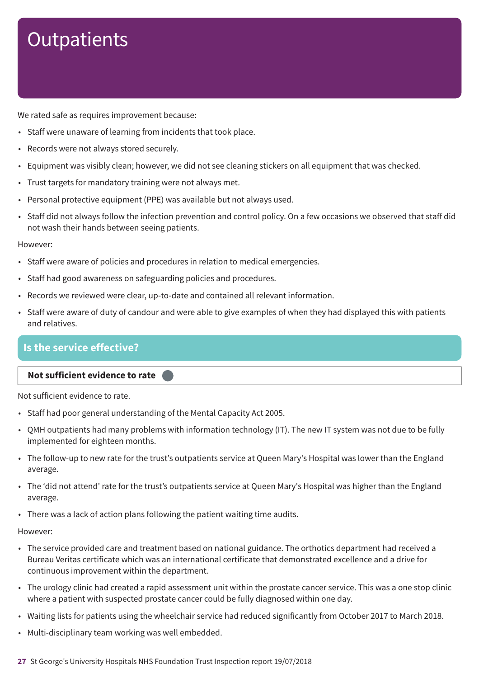We rated safe as requires improvement because:

- Staff were unaware of learning from incidents that took place.
- Records were not always stored securely.
- Equipment was visibly clean; however, we did not see cleaning stickers on all equipment that was checked.
- Trust targets for mandatory training were not always met.
- Personal protective equipment (PPE) was available but not always used.
- Staff did not always follow the infection prevention and control policy. On a few occasions we observed that staff did not wash their hands between seeing patients.

However:

- Staff were aware of policies and procedures in relation to medical emergencies.
- Staff had good awareness on safeguarding policies and procedures.
- Records we reviewed were clear, up-to-date and contained all relevant information.
- Staff were aware of duty of candour and were able to give examples of when they had displayed this with patients and relatives.

### **Is the service effective?**

### **Not sufficient evidence to rate –––**

Not sufficient evidence to rate.

- Staff had poor general understanding of the Mental Capacity Act 2005.
- QMH outpatients had many problems with information technology (IT). The new IT system was not due to be fully implemented for eighteen months.
- The follow-up to new rate for the trust's outpatients service at Queen Mary's Hospital was lower than the England average.
- The 'did not attend' rate for the trust's outpatients service at Queen Mary's Hospital was higher than the England average.
- There was a lack of action plans following the patient waiting time audits.

- The service provided care and treatment based on national guidance. The orthotics department had received a Bureau Veritas certificate which was an international certificate that demonstrated excellence and a drive for continuous improvement within the department.
- The urology clinic had created a rapid assessment unit within the prostate cancer service. This was a one stop clinic where a patient with suspected prostate cancer could be fully diagnosed within one day.
- Waiting lists for patients using the wheelchair service had reduced significantly from October 2017 to March 2018.
- Multi-disciplinary team working was well embedded.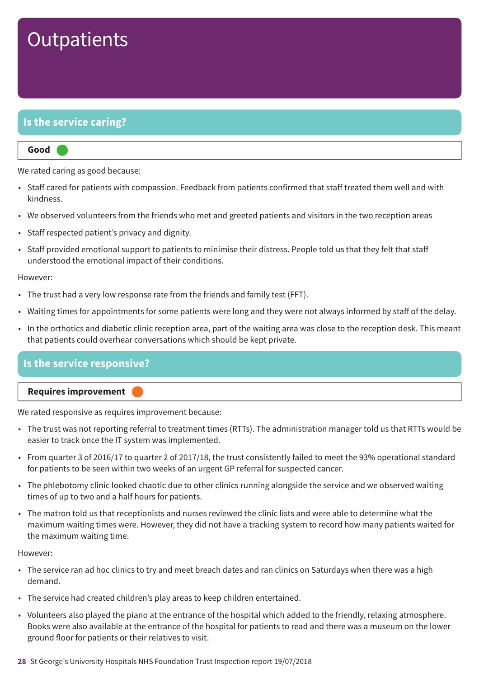### **Is the service caring?**

#### **Good –––**

We rated caring as good because:

- Staff cared for patients with compassion. Feedback from patients confirmed that staff treated them well and with kindness.
- We observed volunteers from the friends who met and greeted patients and visitors in the two reception areas
- Staff respected patient's privacy and dignity.
- Staff provided emotional support to patients to minimise their distress. People told us that they felt that staff understood the emotional impact of their conditions.

#### However:

- The trust had a very low response rate from the friends and family test (FFT).
- Waiting times for appointments for some patients were long and they were not always informed by staff of the delay.
- In the orthotics and diabetic clinic reception area, part of the waiting area was close to the reception desk. This meant that patients could overhear conversations which should be kept private.

### **Is the service responsive?**

#### **Requires improvement –––**

We rated responsive as requires improvement because:

- The trust was not reporting referral to treatment times (RTTs). The administration manager told us that RTTs would be easier to track once the IT system was implemented.
- From quarter 3 of 2016/17 to quarter 2 of 2017/18, the trust consistently failed to meet the 93% operational standard for patients to be seen within two weeks of an urgent GP referral for suspected cancer.
- The phlebotomy clinic looked chaotic due to other clinics running alongside the service and we observed waiting times of up to two and a half hours for patients.
- The matron told us that receptionists and nurses reviewed the clinic lists and were able to determine what the maximum waiting times were. However, they did not have a tracking system to record how many patients waited for the maximum waiting time.

- The service ran ad hoc clinics to try and meet breach dates and ran clinics on Saturdays when there was a high demand.
- The service had created children's play areas to keep children entertained.
- Volunteers also played the piano at the entrance of the hospital which added to the friendly, relaxing atmosphere. Books were also available at the entrance of the hospital for patients to read and there was a museum on the lower ground floor for patients or their relatives to visit.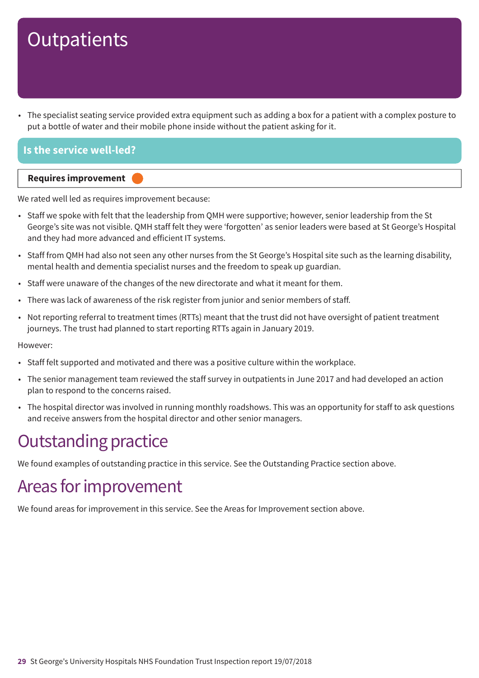• The specialist seating service provided extra equipment such as adding a box for a patient with a complex posture to put a bottle of water and their mobile phone inside without the patient asking for it.

### **Is the service well-led?**



We rated well led as requires improvement because:

- Staff we spoke with felt that the leadership from QMH were supportive; however, senior leadership from the St George's site was not visible. QMH staff felt they were 'forgotten' as senior leaders were based at St George's Hospital and they had more advanced and efficient IT systems.
- Staff from QMH had also not seen any other nurses from the St George's Hospital site such as the learning disability, mental health and dementia specialist nurses and the freedom to speak up guardian.
- Staff were unaware of the changes of the new directorate and what it meant for them.
- There was lack of awareness of the risk register from junior and senior members of staff.
- Not reporting referral to treatment times (RTTs) meant that the trust did not have oversight of patient treatment journeys. The trust had planned to start reporting RTTs again in January 2019.

However:

- Staff felt supported and motivated and there was a positive culture within the workplace.
- The senior management team reviewed the staff survey in outpatients in June 2017 and had developed an action plan to respond to the concerns raised.
- The hospital director was involved in running monthly roadshows. This was an opportunity for staff to ask questions and receive answers from the hospital director and other senior managers.

### **Outstanding practice**

We found examples of outstanding practice in this service. See the Outstanding Practice section above.

### Areas for improvement

We found areas for improvement in this service. See the Areas for Improvement section above.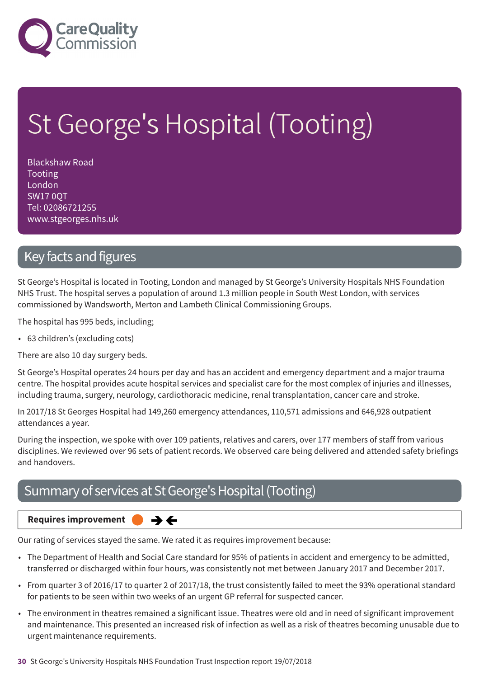

# St George's Hospital (Tooting)

Blackshaw Road Tooting London SW17 0QT Tel: 02086721255 www.stgeorges.nhs.uk

### Key facts and figures

St George's Hospital is located in Tooting, London and managed by St George's University Hospitals NHS Foundation NHS Trust. The hospital serves a population of around 1.3 million people in South West London, with services commissioned by Wandsworth, Merton and Lambeth Clinical Commissioning Groups.

The hospital has 995 beds, including;

• 63 children's (excluding cots)

There are also 10 day surgery beds.

St George's Hospital operates 24 hours per day and has an accident and emergency department and a major trauma centre. The hospital provides acute hospital services and specialist care for the most complex of injuries and illnesses, including trauma, surgery, neurology, cardiothoracic medicine, renal transplantation, cancer care and stroke.

In 2017/18 St Georges Hospital had 149,260 emergency attendances, 110,571 admissions and 646,928 outpatient attendances a year.

During the inspection, we spoke with over 109 patients, relatives and carers, over 177 members of staff from various disciplines. We reviewed over 96 sets of patient records. We observed care being delivered and attended safety briefings and handovers.

### Summary of services at St George's Hospital (Tooting)

**Requires improvement**  $\rightarrow$   $\leftarrow$ 

Our rating of services stayed the same. We rated it as requires improvement because:

- The Department of Health and Social Care standard for 95% of patients in accident and emergency to be admitted, transferred or discharged within four hours, was consistently not met between January 2017 and December 2017.
- From quarter 3 of 2016/17 to quarter 2 of 2017/18, the trust consistently failed to meet the 93% operational standard for patients to be seen within two weeks of an urgent GP referral for suspected cancer.
- The environment in theatres remained a significant issue. Theatres were old and in need of significant improvement and maintenance. This presented an increased risk of infection as well as a risk of theatres becoming unusable due to urgent maintenance requirements.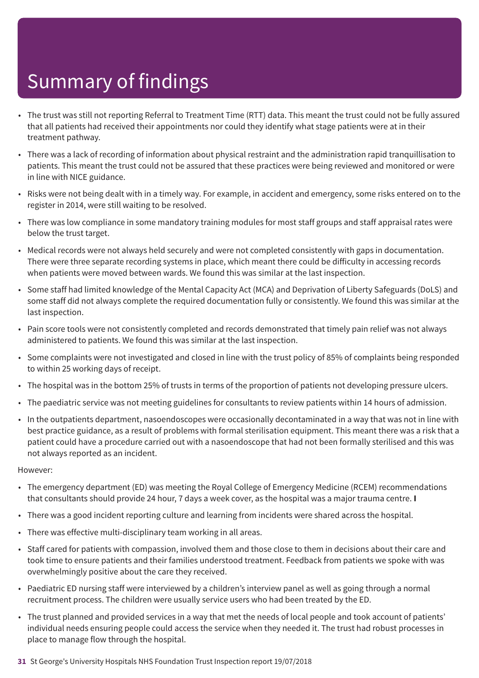- The trust was still not reporting Referral to Treatment Time (RTT) data. This meant the trust could not be fully assured that all patients had received their appointments nor could they identify what stage patients were at in their treatment pathway.
- There was a lack of recording of information about physical restraint and the administration rapid tranquillisation to patients. This meant the trust could not be assured that these practices were being reviewed and monitored or were in line with NICE guidance.
- Risks were not being dealt with in a timely way. For example, in accident and emergency, some risks entered on to the register in 2014, were still waiting to be resolved.
- There was low compliance in some mandatory training modules for most staff groups and staff appraisal rates were below the trust target.
- Medical records were not always held securely and were not completed consistently with gaps in documentation. There were three separate recording systems in place, which meant there could be difficulty in accessing records when patients were moved between wards. We found this was similar at the last inspection.
- Some staff had limited knowledge of the Mental Capacity Act (MCA) and Deprivation of Liberty Safeguards (DoLS) and some staff did not always complete the required documentation fully or consistently. We found this was similar at the last inspection.
- Pain score tools were not consistently completed and records demonstrated that timely pain relief was not always administered to patients. We found this was similar at the last inspection.
- Some complaints were not investigated and closed in line with the trust policy of 85% of complaints being responded to within 25 working days of receipt.
- The hospital was in the bottom 25% of trusts in terms of the proportion of patients not developing pressure ulcers.
- The paediatric service was not meeting guidelines for consultants to review patients within 14 hours of admission.
- In the outpatients department, nasoendoscopes were occasionally decontaminated in a way that was not in line with best practice guidance, as a result of problems with formal sterilisation equipment. This meant there was a risk that a patient could have a procedure carried out with a nasoendoscope that had not been formally sterilised and this was not always reported as an incident.

- The emergency department (ED) was meeting the Royal College of Emergency Medicine (RCEM) recommendations that consultants should provide 24 hour, 7 days a week cover, as the hospital was a major trauma centre. **I**
- There was a good incident reporting culture and learning from incidents were shared across the hospital.
- There was effective multi-disciplinary team working in all areas.
- Staff cared for patients with compassion, involved them and those close to them in decisions about their care and took time to ensure patients and their families understood treatment. Feedback from patients we spoke with was overwhelmingly positive about the care they received.
- Paediatric ED nursing staff were interviewed by a children's interview panel as well as going through a normal recruitment process. The children were usually service users who had been treated by the ED.
- The trust planned and provided services in a way that met the needs of local people and took account of patients' individual needs ensuring people could access the service when they needed it. The trust had robust processes in place to manage flow through the hospital.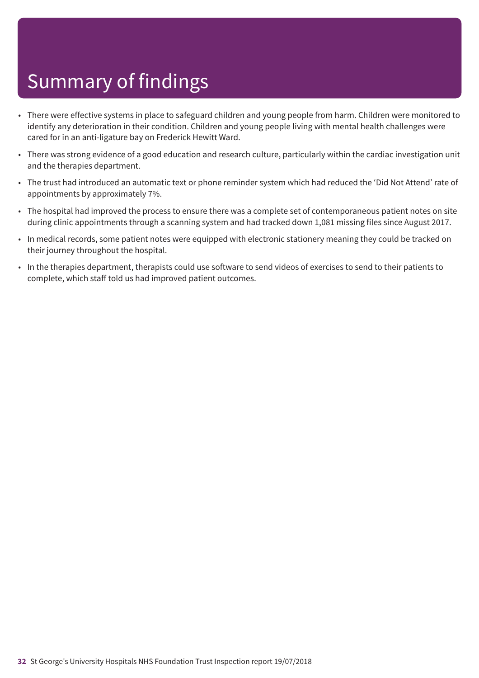- There were effective systems in place to safeguard children and young people from harm. Children were monitored to identify any deterioration in their condition. Children and young people living with mental health challenges were cared for in an anti-ligature bay on Frederick Hewitt Ward.
- There was strong evidence of a good education and research culture, particularly within the cardiac investigation unit and the therapies department.
- The trust had introduced an automatic text or phone reminder system which had reduced the 'Did Not Attend' rate of appointments by approximately 7%.
- The hospital had improved the process to ensure there was a complete set of contemporaneous patient notes on site during clinic appointments through a scanning system and had tracked down 1,081 missing files since August 2017.
- In medical records, some patient notes were equipped with electronic stationery meaning they could be tracked on their journey throughout the hospital.
- In the therapies department, therapists could use software to send videos of exercises to send to their patients to complete, which staff told us had improved patient outcomes.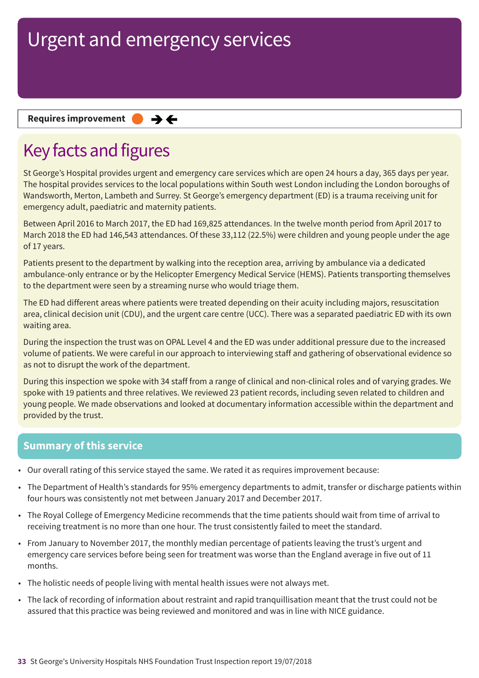### **Requires improvement**  $\rightarrow$   $\leftarrow$

## Key facts and figures

St George's Hospital provides urgent and emergency care services which are open 24 hours a day, 365 days per year. The hospital provides services to the local populations within South west London including the London boroughs of Wandsworth, Merton, Lambeth and Surrey. St George's emergency department (ED) is a trauma receiving unit for emergency adult, paediatric and maternity patients.

Between April 2016 to March 2017, the ED had 169,825 attendances. In the twelve month period from April 2017 to March 2018 the ED had 146,543 attendances. Of these 33,112 (22.5%) were children and young people under the age of 17 years.

Patients present to the department by walking into the reception area, arriving by ambulance via a dedicated ambulance-only entrance or by the Helicopter Emergency Medical Service (HEMS). Patients transporting themselves to the department were seen by a streaming nurse who would triage them.

The ED had different areas where patients were treated depending on their acuity including majors, resuscitation area, clinical decision unit (CDU), and the urgent care centre (UCC). There was a separated paediatric ED with its own waiting area.

During the inspection the trust was on OPAL Level 4 and the ED was under additional pressure due to the increased volume of patients. We were careful in our approach to interviewing staff and gathering of observational evidence so as not to disrupt the work of the department.

During this inspection we spoke with 34 staff from a range of clinical and non-clinical roles and of varying grades. We spoke with 19 patients and three relatives. We reviewed 23 patient records, including seven related to children and young people. We made observations and looked at documentary information accessible within the department and provided by the trust.

### **Summary of this service**

- Our overall rating of this service stayed the same. We rated it as requires improvement because:
- The Department of Health's standards for 95% emergency departments to admit, transfer or discharge patients within four hours was consistently not met between January 2017 and December 2017.
- The Royal College of Emergency Medicine recommends that the time patients should wait from time of arrival to receiving treatment is no more than one hour. The trust consistently failed to meet the standard.
- From January to November 2017, the monthly median percentage of patients leaving the trust's urgent and emergency care services before being seen for treatment was worse than the England average in five out of 11 months.
- The holistic needs of people living with mental health issues were not always met.
- The lack of recording of information about restraint and rapid tranquillisation meant that the trust could not be assured that this practice was being reviewed and monitored and was in line with NICE guidance.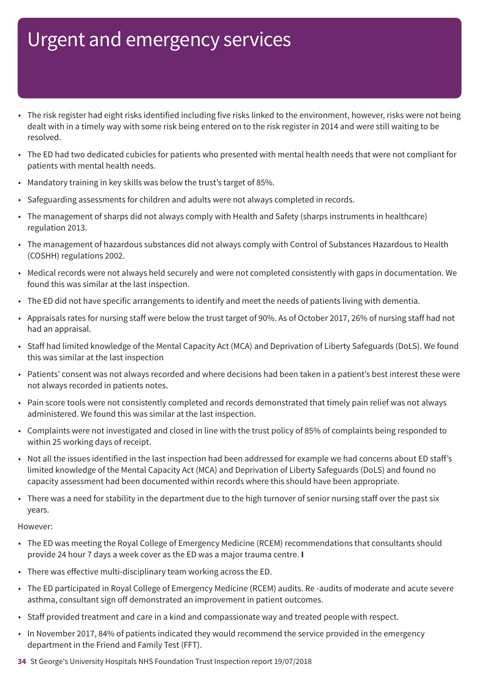- The risk register had eight risks identified including five risks linked to the environment, however, risks were not being dealt with in a timely way with some risk being entered on to the risk register in 2014 and were still waiting to be resolved.
- The ED had two dedicated cubicles for patients who presented with mental health needs that were not compliant for patients with mental health needs.
- Mandatory training in key skills was below the trust's target of 85%.
- Safeguarding assessments for children and adults were not always completed in records.
- The management of sharps did not always comply with Health and Safety (sharps instruments in healthcare) regulation 2013.
- The management of hazardous substances did not always comply with Control of Substances Hazardous to Health (COSHH) regulations 2002.
- Medical records were not always held securely and were not completed consistently with gaps in documentation. We found this was similar at the last inspection.
- The ED did not have specific arrangements to identify and meet the needs of patients living with dementia.
- Appraisals rates for nursing staff were below the trust target of 90%. As of October 2017, 26% of nursing staff had not had an appraisal.
- Staff had limited knowledge of the Mental Capacity Act (MCA) and Deprivation of Liberty Safeguards (DoLS). We found this was similar at the last inspection
- Patients' consent was not always recorded and where decisions had been taken in a patient's best interest these were not always recorded in patients notes.
- Pain score tools were not consistently completed and records demonstrated that timely pain relief was not always administered. We found this was similar at the last inspection.
- Complaints were not investigated and closed in line with the trust policy of 85% of complaints being responded to within 25 working days of receipt.
- Not all the issues identified in the last inspection had been addressed for example we had concerns about ED staff's limited knowledge of the Mental Capacity Act (MCA) and Deprivation of Liberty Safeguards (DoLS) and found no capacity assessment had been documented within records where this should have been appropriate.
- There was a need for stability in the department due to the high turnover of senior nursing staff over the past six years.

- The ED was meeting the Royal College of Emergency Medicine (RCEM) recommendations that consultants should provide 24 hour 7 days a week cover as the ED was a major trauma centre. **I**
- There was effective multi-disciplinary team working across the ED.
- The ED participated in Royal College of Emergency Medicine (RCEM) audits. Re -audits of moderate and acute severe asthma, consultant sign off demonstrated an improvement in patient outcomes.
- Staff provided treatment and care in a kind and compassionate way and treated people with respect.
- In November 2017, 84% of patients indicated they would recommend the service provided in the emergency department in the Friend and Family Test (FFT).
- **34** St George's University Hospitals NHS Foundation Trust Inspection report 19/07/2018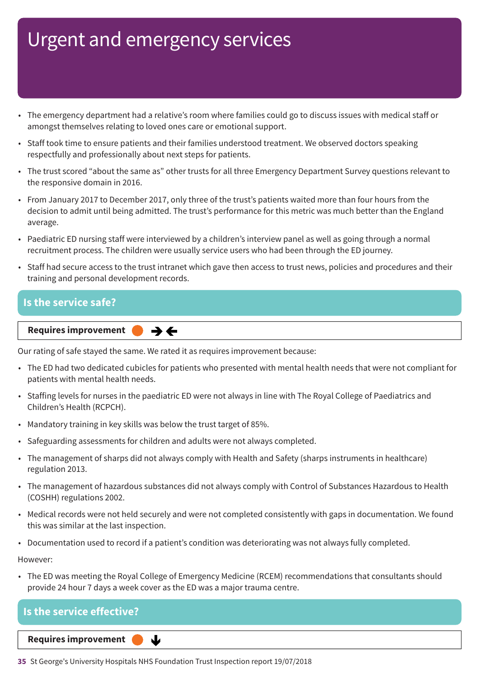- The emergency department had a relative's room where families could go to discuss issues with medical staff or amongst themselves relating to loved ones care or emotional support.
- Staff took time to ensure patients and their families understood treatment. We observed doctors speaking respectfully and professionally about next steps for patients.
- The trust scored "about the same as" other trusts for all three Emergency Department Survey questions relevant to the responsive domain in 2016.
- From January 2017 to December 2017, only three of the trust's patients waited more than four hours from the decision to admit until being admitted. The trust's performance for this metric was much better than the England average.
- Paediatric ED nursing staff were interviewed by a children's interview panel as well as going through a normal recruitment process. The children were usually service users who had been through the ED journey.
- Staff had secure access to the trust intranet which gave then access to trust news, policies and procedures and their training and personal development records.

### **Is the service safe?**

**Requires improvement**  $\rightarrow$   $\leftarrow$ 

Our rating of safe stayed the same. We rated it as requires improvement because:

- The ED had two dedicated cubicles for patients who presented with mental health needs that were not compliant for patients with mental health needs.
- Staffing levels for nurses in the paediatric ED were not always in line with The Royal College of Paediatrics and Children's Health (RCPCH).
- Mandatory training in key skills was below the trust target of 85%.
- Safeguarding assessments for children and adults were not always completed.
- The management of sharps did not always comply with Health and Safety (sharps instruments in healthcare) regulation 2013.
- The management of hazardous substances did not always comply with Control of Substances Hazardous to Health (COSHH) regulations 2002.
- Medical records were not held securely and were not completed consistently with gaps in documentation. We found this was similar at the last inspection.
- Documentation used to record if a patient's condition was deteriorating was not always fully completed.

However:

• The ED was meeting the Royal College of Emergency Medicine (RCEM) recommendations that consultants should provide 24 hour 7 days a week cover as the ED was a major trauma centre.

| Is the service effective?       |  |
|---------------------------------|--|
| Reauires improvement<br>_______ |  |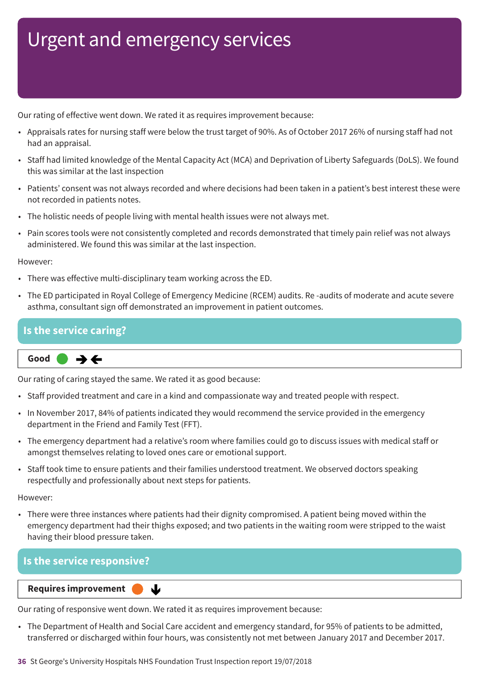Our rating of effective went down. We rated it as requires improvement because:

- Appraisals rates for nursing staff were below the trust target of 90%. As of October 2017 26% of nursing staff had not had an appraisal.
- Staff had limited knowledge of the Mental Capacity Act (MCA) and Deprivation of Liberty Safeguards (DoLS). We found this was similar at the last inspection
- Patients' consent was not always recorded and where decisions had been taken in a patient's best interest these were not recorded in patients notes.
- The holistic needs of people living with mental health issues were not always met.
- Pain scores tools were not consistently completed and records demonstrated that timely pain relief was not always administered. We found this was similar at the last inspection.

However:

- There was effective multi-disciplinary team working across the ED.
- The ED participated in Royal College of Emergency Medicine (RCEM) audits. Re -audits of moderate and acute severe asthma, consultant sign off demonstrated an improvement in patient outcomes.

### **Is the service caring?**

**Same–––rating Good –––**  $\rightarrow$   $\leftarrow$ 

Our rating of caring stayed the same. We rated it as good because:

- Staff provided treatment and care in a kind and compassionate way and treated people with respect.
- In November 2017, 84% of patients indicated they would recommend the service provided in the emergency department in the Friend and Family Test (FFT).
- The emergency department had a relative's room where families could go to discuss issues with medical staff or amongst themselves relating to loved ones care or emotional support.
- Staff took time to ensure patients and their families understood treatment. We observed doctors speaking respectfully and professionally about next steps for patients.

However:

• There were three instances where patients had their dignity compromised. A patient being moved within the emergency department had their thighs exposed; and two patients in the waiting room were stripped to the waist having their blood pressure taken.

### **Is the service responsive?**

**Requires improvement** 

Our rating of responsive went down. We rated it as requires improvement because:

J

• The Department of Health and Social Care accident and emergency standard, for 95% of patients to be admitted, transferred or discharged within four hours, was consistently not met between January 2017 and December 2017.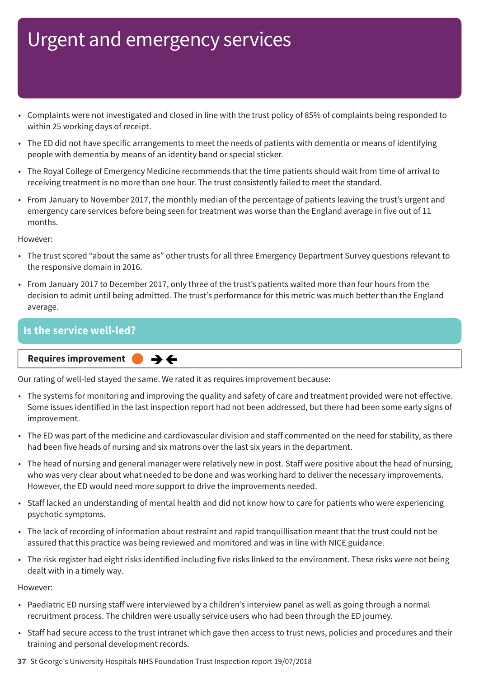- Complaints were not investigated and closed in line with the trust policy of 85% of complaints being responded to within 25 working days of receipt.
- The ED did not have specific arrangements to meet the needs of patients with dementia or means of identifying people with dementia by means of an identity band or special sticker.
- The Royal College of Emergency Medicine recommends that the time patients should wait from time of arrival to receiving treatment is no more than one hour. The trust consistently failed to meet the standard.
- From January to November 2017, the monthly median of the percentage of patients leaving the trust's urgent and emergency care services before being seen for treatment was worse than the England average in five out of 11 months.

However:

- The trust scored "about the same as" other trusts for all three Emergency Department Survey questions relevant to the responsive domain in 2016.
- From January 2017 to December 2017, only three of the trust's patients waited more than four hours from the decision to admit until being admitted. The trust's performance for this metric was much better than the England average.

### **Is the service well-led?**

**Same–––rating Requires improvement –––**  $\rightarrow$   $\leftarrow$ 

Our rating of well-led stayed the same. We rated it as requires improvement because:

- The systems for monitoring and improving the quality and safety of care and treatment provided were not effective. Some issues identified in the last inspection report had not been addressed, but there had been some early signs of improvement.
- The ED was part of the medicine and cardiovascular division and staff commented on the need for stability, as there had been five heads of nursing and six matrons over the last six years in the department.
- The head of nursing and general manager were relatively new in post. Staff were positive about the head of nursing, who was very clear about what needed to be done and was working hard to deliver the necessary improvements. However, the ED would need more support to drive the improvements needed.
- Staff lacked an understanding of mental health and did not know how to care for patients who were experiencing psychotic symptoms.
- The lack of recording of information about restraint and rapid tranquillisation meant that the trust could not be assured that this practice was being reviewed and monitored and was in line with NICE guidance.
- The risk register had eight risks identified including five risks linked to the environment. These risks were not being dealt with in a timely way.

- Paediatric ED nursing staff were interviewed by a children's interview panel as well as going through a normal recruitment process. The children were usually service users who had been through the ED journey.
- Staff had secure access to the trust intranet which gave then access to trust news, policies and procedures and their training and personal development records.
- **37** St George's University Hospitals NHS Foundation Trust Inspection report 19/07/2018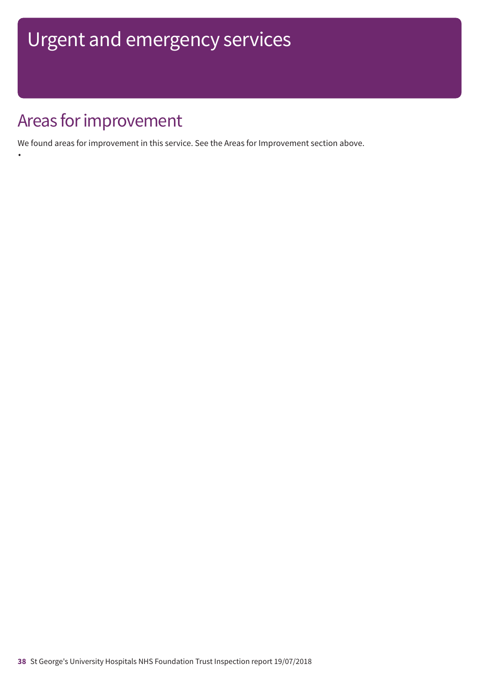## Areas for improvement

•

We found areas for improvement in this service. See the Areas for Improvement section above.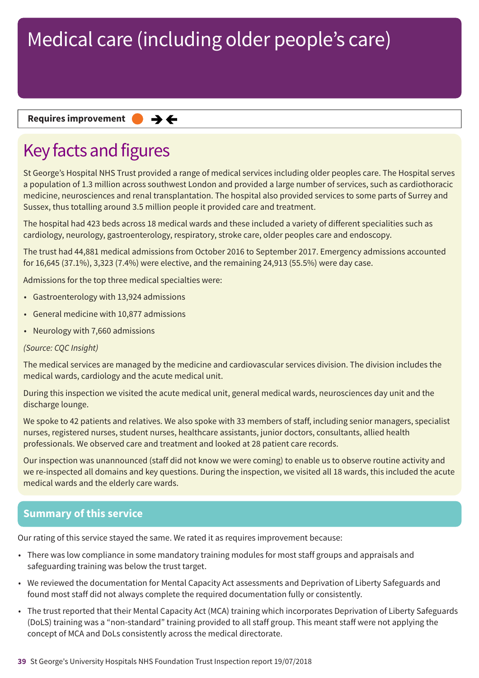### **Requires improvement**  $\rightarrow$   $\leftarrow$

## Key facts and figures

St George's Hospital NHS Trust provided a range of medical services including older peoples care. The Hospital serves a population of 1.3 million across southwest London and provided a large number of services, such as cardiothoracic medicine, neurosciences and renal transplantation. The hospital also provided services to some parts of Surrey and Sussex, thus totalling around 3.5 million people it provided care and treatment.

The hospital had 423 beds across 18 medical wards and these included a variety of different specialities such as cardiology, neurology, gastroenterology, respiratory, stroke care, older peoples care and endoscopy.

The trust had 44,881 medical admissions from October 2016 to September 2017. Emergency admissions accounted for 16,645 (37.1%), 3,323 (7.4%) were elective, and the remaining 24,913 (55.5%) were day case.

Admissions for the top three medical specialties were:

- Gastroenterology with 13,924 admissions
- General medicine with 10,877 admissions
- Neurology with 7,660 admissions

### *(Source: CQC Insight)*

The medical services are managed by the medicine and cardiovascular services division. The division includes the medical wards, cardiology and the acute medical unit.

During this inspection we visited the acute medical unit, general medical wards, neurosciences day unit and the discharge lounge.

We spoke to 42 patients and relatives. We also spoke with 33 members of staff, including senior managers, specialist nurses, registered nurses, student nurses, healthcare assistants, junior doctors, consultants, allied health professionals. We observed care and treatment and looked at 28 patient care records.

Our inspection was unannounced (staff did not know we were coming) to enable us to observe routine activity and we re-inspected all domains and key questions. During the inspection, we visited all 18 wards, this included the acute medical wards and the elderly care wards.

### **Summary of this service**

Our rating of this service stayed the same. We rated it as requires improvement because:

- There was low compliance in some mandatory training modules for most staff groups and appraisals and safeguarding training was below the trust target.
- We reviewed the documentation for Mental Capacity Act assessments and Deprivation of Liberty Safeguards and found most staff did not always complete the required documentation fully or consistently.
- The trust reported that their Mental Capacity Act (MCA) training which incorporates Deprivation of Liberty Safeguards (DoLS) training was a "non-standard" training provided to all staff group. This meant staff were not applying the concept of MCA and DoLs consistently across the medical directorate.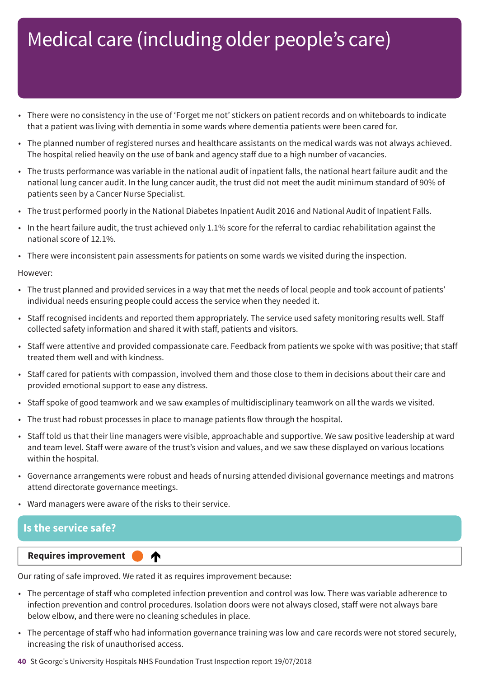- There were no consistency in the use of 'Forget me not' stickers on patient records and on whiteboards to indicate that a patient was living with dementia in some wards where dementia patients were been cared for.
- The planned number of registered nurses and healthcare assistants on the medical wards was not always achieved. The hospital relied heavily on the use of bank and agency staff due to a high number of vacancies.
- The trusts performance was variable in the national audit of inpatient falls, the national heart failure audit and the national lung cancer audit. In the lung cancer audit, the trust did not meet the audit minimum standard of 90% of patients seen by a Cancer Nurse Specialist.
- The trust performed poorly in the National Diabetes Inpatient Audit 2016 and National Audit of Inpatient Falls.
- In the heart failure audit, the trust achieved only 1.1% score for the referral to cardiac rehabilitation against the national score of 12.1%.
- There were inconsistent pain assessments for patients on some wards we visited during the inspection.

#### However:

- The trust planned and provided services in a way that met the needs of local people and took account of patients' individual needs ensuring people could access the service when they needed it.
- Staff recognised incidents and reported them appropriately. The service used safety monitoring results well. Staff collected safety information and shared it with staff, patients and visitors.
- Staff were attentive and provided compassionate care. Feedback from patients we spoke with was positive; that staff treated them well and with kindness.
- Staff cared for patients with compassion, involved them and those close to them in decisions about their care and provided emotional support to ease any distress.
- Staff spoke of good teamwork and we saw examples of multidisciplinary teamwork on all the wards we visited.
- The trust had robust processes in place to manage patients flow through the hospital.
- Staff told us that their line managers were visible, approachable and supportive. We saw positive leadership at ward and team level. Staff were aware of the trust's vision and values, and we saw these displayed on various locations within the hospital.
- Governance arrangements were robust and heads of nursing attended divisional governance meetings and matrons attend directorate governance meetings.
- Ward managers were aware of the risks to their service.

### **Is the service safe?**

#### **Up one rating Requires improvement –––**

Our rating of safe improved. We rated it as requires improvement because:

♠

- The percentage of staff who completed infection prevention and control was low. There was variable adherence to infection prevention and control procedures. Isolation doors were not always closed, staff were not always bare below elbow, and there were no cleaning schedules in place.
- The percentage of staff who had information governance training was low and care records were not stored securely, increasing the risk of unauthorised access.

#### **40** St George's University Hospitals NHS Foundation Trust Inspection report 19/07/2018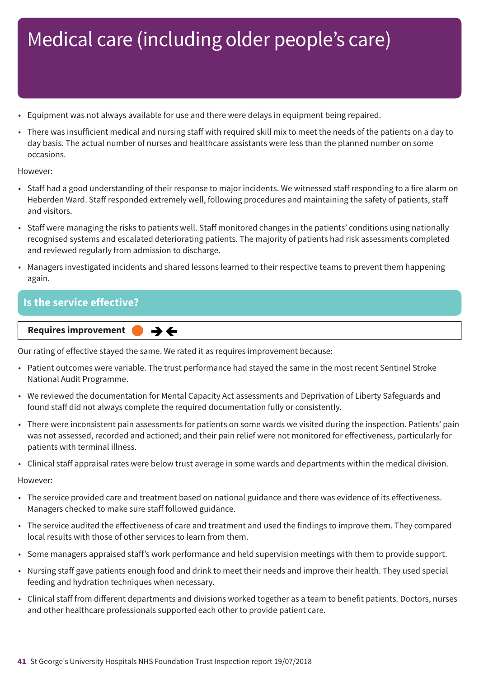- Equipment was not always available for use and there were delays in equipment being repaired.
- There was insufficient medical and nursing staff with required skill mix to meet the needs of the patients on a day to day basis. The actual number of nurses and healthcare assistants were less than the planned number on some occasions.

However:

- Staff had a good understanding of their response to major incidents. We witnessed staff responding to a fire alarm on Heberden Ward. Staff responded extremely well, following procedures and maintaining the safety of patients, staff and visitors.
- Staff were managing the risks to patients well. Staff monitored changes in the patients' conditions using nationally recognised systems and escalated deteriorating patients. The majority of patients had risk assessments completed and reviewed regularly from admission to discharge.
- Managers investigated incidents and shared lessons learned to their respective teams to prevent them happening again.

### **Is the service effective?**

**Requires improvement**  $\rightarrow$   $\leftarrow$ 

Our rating of effective stayed the same. We rated it as requires improvement because:

- Patient outcomes were variable. The trust performance had stayed the same in the most recent Sentinel Stroke National Audit Programme.
- We reviewed the documentation for Mental Capacity Act assessments and Deprivation of Liberty Safeguards and found staff did not always complete the required documentation fully or consistently.
- There were inconsistent pain assessments for patients on some wards we visited during the inspection. Patients' pain was not assessed, recorded and actioned; and their pain relief were not monitored for effectiveness, particularly for patients with terminal illness.
- Clinical staff appraisal rates were below trust average in some wards and departments within the medical division.

- The service provided care and treatment based on national guidance and there was evidence of its effectiveness. Managers checked to make sure staff followed guidance.
- The service audited the effectiveness of care and treatment and used the findings to improve them. They compared local results with those of other services to learn from them.
- Some managers appraised staff's work performance and held supervision meetings with them to provide support.
- Nursing staff gave patients enough food and drink to meet their needs and improve their health. They used special feeding and hydration techniques when necessary.
- Clinical staff from different departments and divisions worked together as a team to benefit patients. Doctors, nurses and other healthcare professionals supported each other to provide patient care.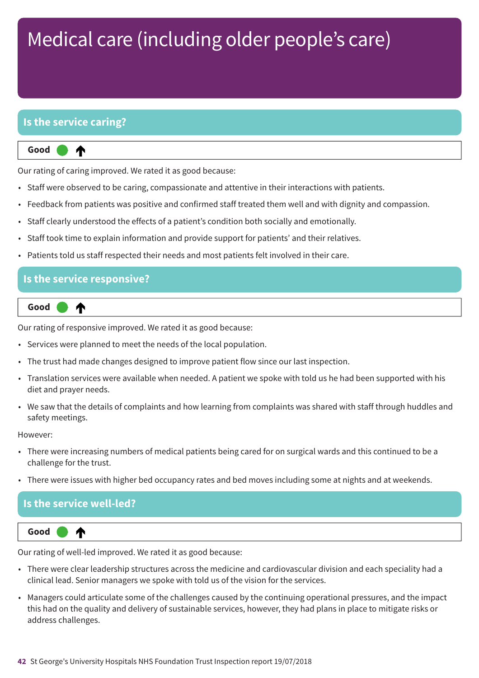### **Is the service caring?**

⋔

**Up one rating Good –––**

Our rating of caring improved. We rated it as good because:

- Staff were observed to be caring, compassionate and attentive in their interactions with patients.
- Feedback from patients was positive and confirmed staff treated them well and with dignity and compassion.
- Staff clearly understood the effects of a patient's condition both socially and emotionally.
- Staff took time to explain information and provide support for patients' and their relatives.
- Patients told us staff respected their needs and most patients felt involved in their care.

### **Is the service responsive?**

₳

**Up one rating Good –––**

Our rating of responsive improved. We rated it as good because:

- Services were planned to meet the needs of the local population.
- The trust had made changes designed to improve patient flow since our last inspection.
- Translation services were available when needed. A patient we spoke with told us he had been supported with his diet and prayer needs.
- We saw that the details of complaints and how learning from complaints was shared with staff through huddles and safety meetings.

However:

- There were increasing numbers of medical patients being cared for on surgical wards and this continued to be a challenge for the trust.
- There were issues with higher bed occupancy rates and bed moves including some at nights and at weekends.

### **Is the service well-led?**



Our rating of well-led improved. We rated it as good because:

- There were clear leadership structures across the medicine and cardiovascular division and each speciality had a clinical lead. Senior managers we spoke with told us of the vision for the services.
- Managers could articulate some of the challenges caused by the continuing operational pressures, and the impact this had on the quality and delivery of sustainable services, however, they had plans in place to mitigate risks or address challenges.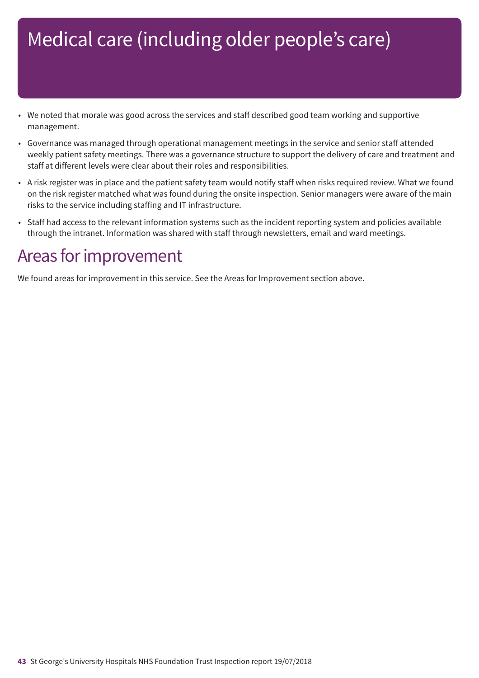- We noted that morale was good across the services and staff described good team working and supportive management.
- Governance was managed through operational management meetings in the service and senior staff attended weekly patient safety meetings. There was a governance structure to support the delivery of care and treatment and staff at different levels were clear about their roles and responsibilities.
- A risk register was in place and the patient safety team would notify staff when risks required review. What we found on the risk register matched what was found during the onsite inspection. Senior managers were aware of the main risks to the service including staffing and IT infrastructure.
- Staff had access to the relevant information systems such as the incident reporting system and policies available through the intranet. Information was shared with staff through newsletters, email and ward meetings.

## Areas for improvement

We found areas for improvement in this service. See the Areas for Improvement section above.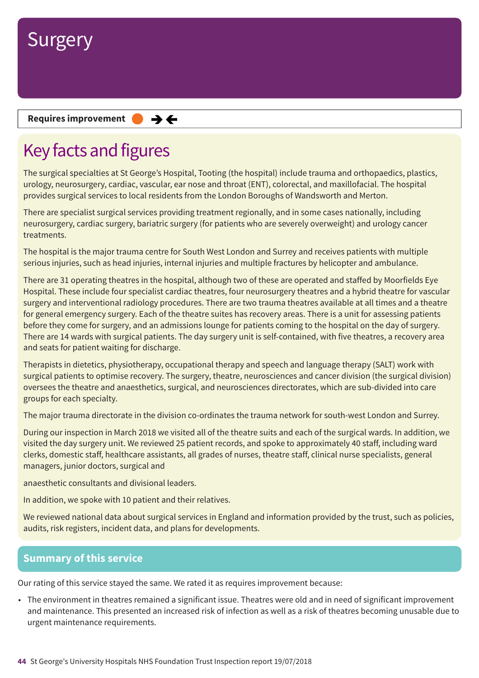

**Requires improvement**  $\rightarrow$   $\leftarrow$ 

## Key facts and figures

The surgical specialties at St George's Hospital, Tooting (the hospital) include trauma and orthopaedics, plastics, urology, neurosurgery, cardiac, vascular, ear nose and throat (ENT), colorectal, and maxillofacial. The hospital provides surgical services to local residents from the London Boroughs of Wandsworth and Merton.

There are specialist surgical services providing treatment regionally, and in some cases nationally, including neurosurgery, cardiac surgery, bariatric surgery (for patients who are severely overweight) and urology cancer treatments.

The hospital is the major trauma centre for South West London and Surrey and receives patients with multiple serious injuries, such as head injuries, internal injuries and multiple fractures by helicopter and ambulance.

There are 31 operating theatres in the hospital, although two of these are operated and staffed by Moorfields Eye Hospital. These include four specialist cardiac theatres, four neurosurgery theatres and a hybrid theatre for vascular surgery and interventional radiology procedures. There are two trauma theatres available at all times and a theatre for general emergency surgery. Each of the theatre suites has recovery areas. There is a unit for assessing patients before they come for surgery, and an admissions lounge for patients coming to the hospital on the day of surgery. There are 14 wards with surgical patients. The day surgery unit is self-contained, with five theatres, a recovery area and seats for patient waiting for discharge.

Therapists in dietetics, physiotherapy, occupational therapy and speech and language therapy (SALT) work with surgical patients to optimise recovery. The surgery, theatre, neurosciences and cancer division (the surgical division) oversees the theatre and anaesthetics, surgical, and neurosciences directorates, which are sub-divided into care groups for each specialty.

The major trauma directorate in the division co-ordinates the trauma network for south-west London and Surrey.

During our inspection in March 2018 we visited all of the theatre suits and each of the surgical wards. In addition, we visited the day surgery unit. We reviewed 25 patient records, and spoke to approximately 40 staff, including ward clerks, domestic staff, healthcare assistants, all grades of nurses, theatre staff, clinical nurse specialists, general managers, junior doctors, surgical and

anaesthetic consultants and divisional leaders.

In addition, we spoke with 10 patient and their relatives.

We reviewed national data about surgical services in England and information provided by the trust, such as policies, audits, risk registers, incident data, and plans for developments.

### **Summary of this service**

Our rating of this service stayed the same. We rated it as requires improvement because:

• The environment in theatres remained a significant issue. Theatres were old and in need of significant improvement and maintenance. This presented an increased risk of infection as well as a risk of theatres becoming unusable due to urgent maintenance requirements.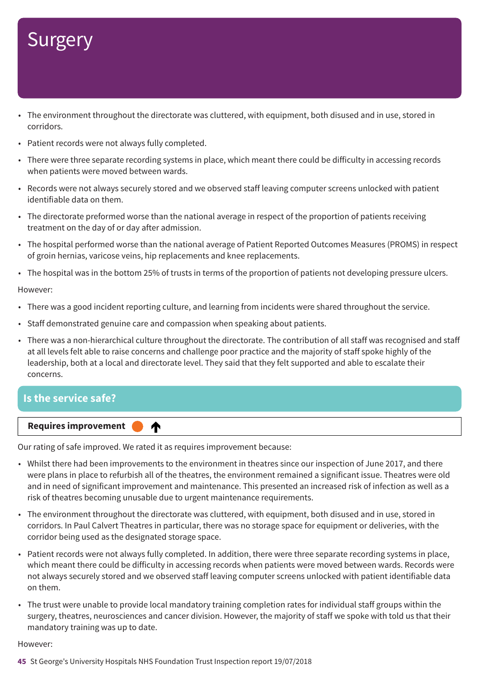- The environment throughout the directorate was cluttered, with equipment, both disused and in use, stored in corridors.
- Patient records were not always fully completed.
- There were three separate recording systems in place, which meant there could be difficulty in accessing records when patients were moved between wards.
- Records were not always securely stored and we observed staff leaving computer screens unlocked with patient identifiable data on them.
- The directorate preformed worse than the national average in respect of the proportion of patients receiving treatment on the day of or day after admission.
- The hospital performed worse than the national average of Patient Reported Outcomes Measures (PROMS) in respect of groin hernias, varicose veins, hip replacements and knee replacements.
- The hospital was in the bottom 25% of trusts in terms of the proportion of patients not developing pressure ulcers.

#### However:

- There was a good incident reporting culture, and learning from incidents were shared throughout the service.
- Staff demonstrated genuine care and compassion when speaking about patients.
- There was a non-hierarchical culture throughout the directorate. The contribution of all staff was recognised and staff at all levels felt able to raise concerns and challenge poor practice and the majority of staff spoke highly of the leadership, both at a local and directorate level. They said that they felt supported and able to escalate their concerns.

### **Is the service safe?**



Our rating of safe improved. We rated it as requires improvement because:

- Whilst there had been improvements to the environment in theatres since our inspection of June 2017, and there were plans in place to refurbish all of the theatres, the environment remained a significant issue. Theatres were old and in need of significant improvement and maintenance. This presented an increased risk of infection as well as a risk of theatres becoming unusable due to urgent maintenance requirements.
- The environment throughout the directorate was cluttered, with equipment, both disused and in use, stored in corridors. In Paul Calvert Theatres in particular, there was no storage space for equipment or deliveries, with the corridor being used as the designated storage space.
- Patient records were not always fully completed. In addition, there were three separate recording systems in place, which meant there could be difficulty in accessing records when patients were moved between wards. Records were not always securely stored and we observed staff leaving computer screens unlocked with patient identifiable data on them.
- The trust were unable to provide local mandatory training completion rates for individual staff groups within the surgery, theatres, neurosciences and cancer division. However, the majority of staff we spoke with told us that their mandatory training was up to date.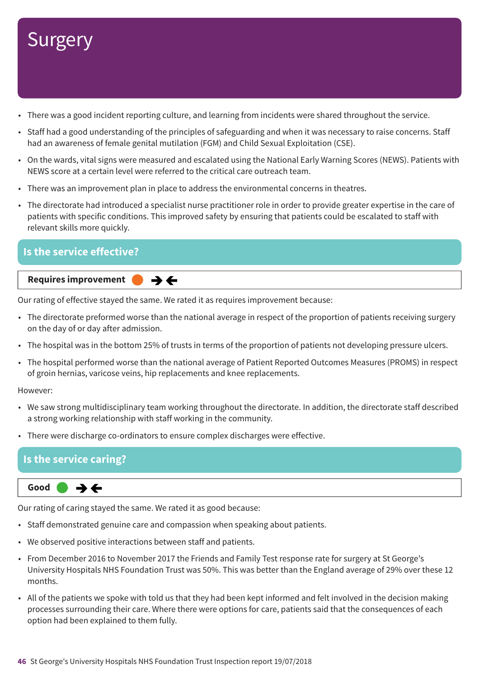- There was a good incident reporting culture, and learning from incidents were shared throughout the service.
- Staff had a good understanding of the principles of safeguarding and when it was necessary to raise concerns. Staff had an awareness of female genital mutilation (FGM) and Child Sexual Exploitation (CSE).
- On the wards, vital signs were measured and escalated using the National Early Warning Scores (NEWS). Patients with NEWS score at a certain level were referred to the critical care outreach team.
- There was an improvement plan in place to address the environmental concerns in theatres.
- The directorate had introduced a specialist nurse practitioner role in order to provide greater expertise in the care of patients with specific conditions. This improved safety by ensuring that patients could be escalated to staff with relevant skills more quickly.

### **Is the service effective?**

### **Requires improvement**  $\rightarrow$   $\leftarrow$

Our rating of effective stayed the same. We rated it as requires improvement because:

- The directorate preformed worse than the national average in respect of the proportion of patients receiving surgery on the day of or day after admission.
- The hospital was in the bottom 25% of trusts in terms of the proportion of patients not developing pressure ulcers.
- The hospital performed worse than the national average of Patient Reported Outcomes Measures (PROMS) in respect of groin hernias, varicose veins, hip replacements and knee replacements.

#### However:

- We saw strong multidisciplinary team working throughout the directorate. In addition, the directorate staff described a strong working relationship with staff working in the community.
- There were discharge co-ordinators to ensure complex discharges were effective.

### **Is the service caring?**



Our rating of caring stayed the same. We rated it as good because:

- Staff demonstrated genuine care and compassion when speaking about patients.
- We observed positive interactions between staff and patients.
- From December 2016 to November 2017 the Friends and Family Test response rate for surgery at St George's University Hospitals NHS Foundation Trust was 50%. This was better than the England average of 29% over these 12 months.
- All of the patients we spoke with told us that they had been kept informed and felt involved in the decision making processes surrounding their care. Where there were options for care, patients said that the consequences of each option had been explained to them fully.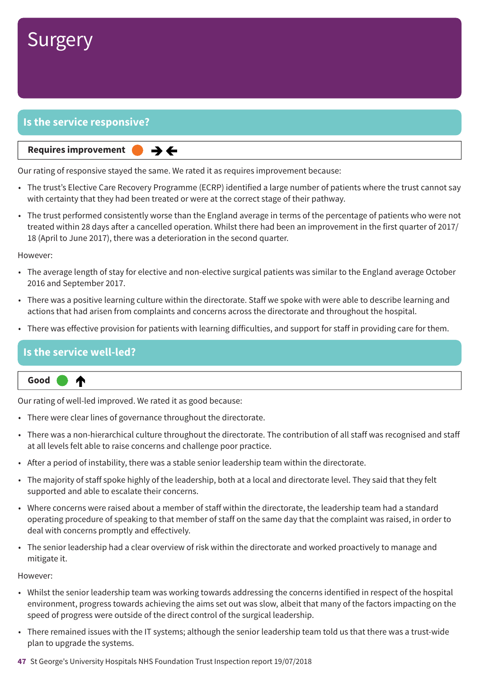

### **Is the service responsive?**

#### **Same–––rating Requires improvement –––**

Our rating of responsive stayed the same. We rated it as requires improvement because:

 $\rightarrow$   $\leftarrow$ 

- The trust's Elective Care Recovery Programme (ECRP) identified a large number of patients where the trust cannot say with certainty that they had been treated or were at the correct stage of their pathway.
- The trust performed consistently worse than the England average in terms of the percentage of patients who were not treated within 28 days after a cancelled operation. Whilst there had been an improvement in the first quarter of 2017/ 18 (April to June 2017), there was a deterioration in the second quarter.

#### However:

- The average length of stay for elective and non-elective surgical patients was similar to the England average October 2016 and September 2017.
- There was a positive learning culture within the directorate. Staff we spoke with were able to describe learning and actions that had arisen from complaints and concerns across the directorate and throughout the hospital.
- There was effective provision for patients with learning difficulties, and support for staff in providing care for them.

### **Is the service well-led?**



Our rating of well-led improved. We rated it as good because:

- There were clear lines of governance throughout the directorate.
- There was a non-hierarchical culture throughout the directorate. The contribution of all staff was recognised and staff at all levels felt able to raise concerns and challenge poor practice.
- After a period of instability, there was a stable senior leadership team within the directorate.
- The majority of staff spoke highly of the leadership, both at a local and directorate level. They said that they felt supported and able to escalate their concerns.
- Where concerns were raised about a member of staff within the directorate, the leadership team had a standard operating procedure of speaking to that member of staff on the same day that the complaint was raised, in order to deal with concerns promptly and effectively.
- The senior leadership had a clear overview of risk within the directorate and worked proactively to manage and mitigate it.

- Whilst the senior leadership team was working towards addressing the concerns identified in respect of the hospital environment, progress towards achieving the aims set out was slow, albeit that many of the factors impacting on the speed of progress were outside of the direct control of the surgical leadership.
- There remained issues with the IT systems; although the senior leadership team told us that there was a trust-wide plan to upgrade the systems.
- **47** St George's University Hospitals NHS Foundation Trust Inspection report 19/07/2018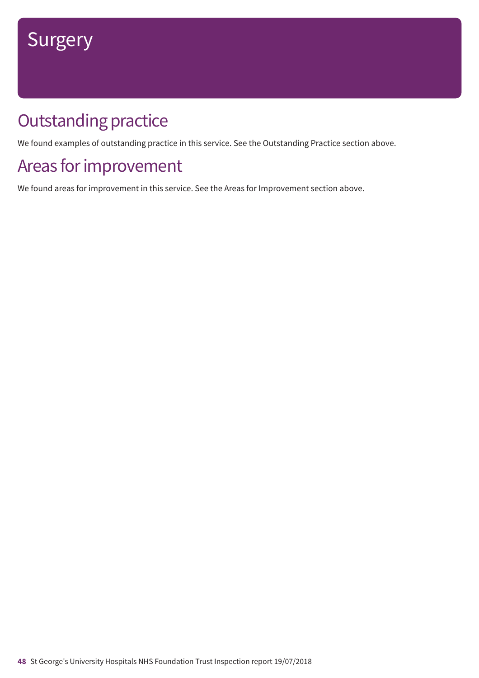## **Outstanding practice**

We found examples of outstanding practice in this service. See the Outstanding Practice section above.

## Areas for improvement

We found areas for improvement in this service. See the Areas for Improvement section above.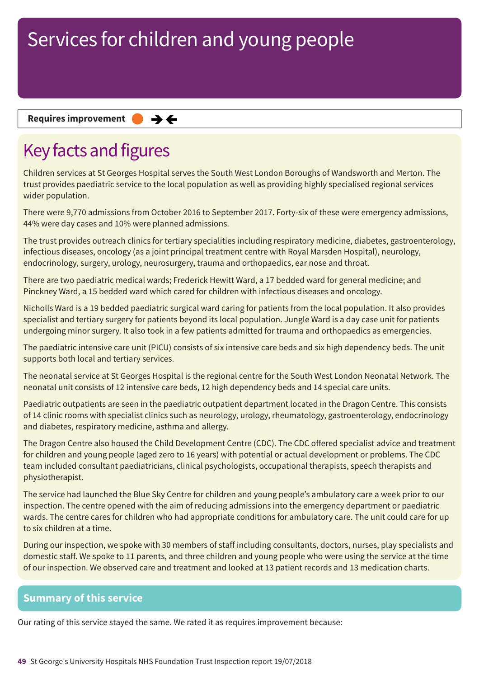**Requires improvement**  $\rightarrow$   $\leftarrow$ 

## Key facts and figures

Children services at St Georges Hospital serves the South West London Boroughs of Wandsworth and Merton. The trust provides paediatric service to the local population as well as providing highly specialised regional services wider population.

There were 9,770 admissions from October 2016 to September 2017. Forty-six of these were emergency admissions, 44% were day cases and 10% were planned admissions.

The trust provides outreach clinics for tertiary specialities including respiratory medicine, diabetes, gastroenterology, infectious diseases, oncology (as a joint principal treatment centre with Royal Marsden Hospital), neurology, endocrinology, surgery, urology, neurosurgery, trauma and orthopaedics, ear nose and throat.

There are two paediatric medical wards; Frederick Hewitt Ward, a 17 bedded ward for general medicine; and Pinckney Ward, a 15 bedded ward which cared for children with infectious diseases and oncology.

Nicholls Ward is a 19 bedded paediatric surgical ward caring for patients from the local population. It also provides specialist and tertiary surgery for patients beyond its local population. Jungle Ward is a day case unit for patients undergoing minor surgery. It also took in a few patients admitted for trauma and orthopaedics as emergencies.

The paediatric intensive care unit (PICU) consists of six intensive care beds and six high dependency beds. The unit supports both local and tertiary services.

The neonatal service at St Georges Hospital is the regional centre for the South West London Neonatal Network. The neonatal unit consists of 12 intensive care beds, 12 high dependency beds and 14 special care units.

Paediatric outpatients are seen in the paediatric outpatient department located in the Dragon Centre. This consists of 14 clinic rooms with specialist clinics such as neurology, urology, rheumatology, gastroenterology, endocrinology and diabetes, respiratory medicine, asthma and allergy.

The Dragon Centre also housed the Child Development Centre (CDC). The CDC offered specialist advice and treatment for children and young people (aged zero to 16 years) with potential or actual development or problems. The CDC team included consultant paediatricians, clinical psychologists, occupational therapists, speech therapists and physiotherapist.

The service had launched the Blue Sky Centre for children and young people's ambulatory care a week prior to our inspection. The centre opened with the aim of reducing admissions into the emergency department or paediatric wards. The centre cares for children who had appropriate conditions for ambulatory care. The unit could care for up to six children at a time.

During our inspection, we spoke with 30 members of staff including consultants, doctors, nurses, play specialists and domestic staff. We spoke to 11 parents, and three children and young people who were using the service at the time of our inspection. We observed care and treatment and looked at 13 patient records and 13 medication charts.

### **Summary of this service**

Our rating of this service stayed the same. We rated it as requires improvement because: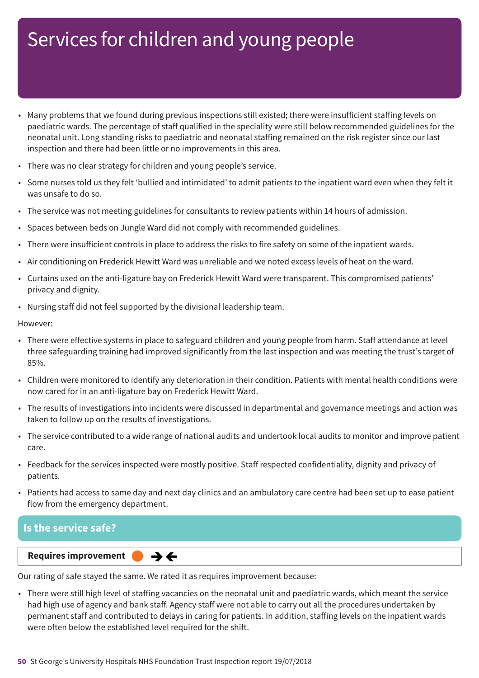- Many problems that we found during previous inspections still existed; there were insufficient staffing levels on paediatric wards. The percentage of staff qualified in the speciality were still below recommended guidelines for the neonatal unit. Long standing risks to paediatric and neonatal staffing remained on the risk register since our last inspection and there had been little or no improvements in this area.
- There was no clear strategy for children and young people's service.
- Some nurses told us they felt 'bullied and intimidated' to admit patients to the inpatient ward even when they felt it was unsafe to do so.
- The service was not meeting guidelines for consultants to review patients within 14 hours of admission.
- Spaces between beds on Jungle Ward did not comply with recommended guidelines.
- There were insufficient controls in place to address the risks to fire safety on some of the inpatient wards.
- Air conditioning on Frederick Hewitt Ward was unreliable and we noted excess levels of heat on the ward.
- Curtains used on the anti-ligature bay on Frederick Hewitt Ward were transparent. This compromised patients' privacy and dignity.
- Nursing staff did not feel supported by the divisional leadership team.

However:

- There were effective systems in place to safeguard children and young people from harm. Staff attendance at level three safeguarding training had improved significantly from the last inspection and was meeting the trust's target of 85%.
- Children were monitored to identify any deterioration in their condition. Patients with mental health conditions were now cared for in an anti-ligature bay on Frederick Hewitt Ward.
- The results of investigations into incidents were discussed in departmental and governance meetings and action was taken to follow up on the results of investigations.
- The service contributed to a wide range of national audits and undertook local audits to monitor and improve patient care.
- Feedback for the services inspected were mostly positive. Staff respected confidentiality, dignity and privacy of patients.
- Patients had access to same day and next day clinics and an ambulatory care centre had been set up to ease patient flow from the emergency department.

### **Is the service safe?**

**Same–––rating Requires improvement –––**  $\rightarrow$   $\leftarrow$ 

Our rating of safe stayed the same. We rated it as requires improvement because:

• There were still high level of staffing vacancies on the neonatal unit and paediatric wards, which meant the service had high use of agency and bank staff. Agency staff were not able to carry out all the procedures undertaken by permanent staff and contributed to delays in caring for patients. In addition, staffing levels on the inpatient wards were often below the established level required for the shift.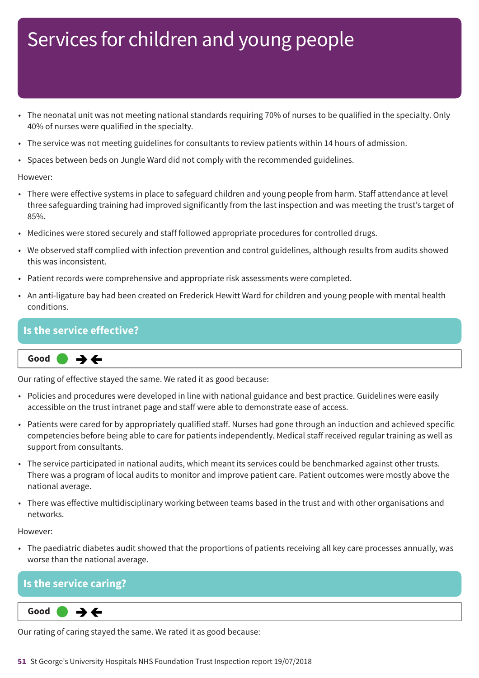- The neonatal unit was not meeting national standards requiring 70% of nurses to be qualified in the specialty. Only 40% of nurses were qualified in the specialty.
- The service was not meeting guidelines for consultants to review patients within 14 hours of admission.
- Spaces between beds on Jungle Ward did not comply with the recommended guidelines.

However:

- There were effective systems in place to safeguard children and young people from harm. Staff attendance at level three safeguarding training had improved significantly from the last inspection and was meeting the trust's target of 85%.
- Medicines were stored securely and staff followed appropriate procedures for controlled drugs.
- We observed staff complied with infection prevention and control guidelines, although results from audits showed this was inconsistent.
- Patient records were comprehensive and appropriate risk assessments were completed.
- An anti-ligature bay had been created on Frederick Hewitt Ward for children and young people with mental health conditions.

### **Is the service effective?**

**Same–––rating Good –––**  $\rightarrow$   $\leftarrow$ 

Our rating of effective stayed the same. We rated it as good because:

- Policies and procedures were developed in line with national guidance and best practice. Guidelines were easily accessible on the trust intranet page and staff were able to demonstrate ease of access.
- Patients were cared for by appropriately qualified staff. Nurses had gone through an induction and achieved specific competencies before being able to care for patients independently. Medical staff received regular training as well as support from consultants.
- The service participated in national audits, which meant its services could be benchmarked against other trusts. There was a program of local audits to monitor and improve patient care. Patient outcomes were mostly above the national average.
- There was effective multidisciplinary working between teams based in the trust and with other organisations and networks.

However:

• The paediatric diabetes audit showed that the proportions of patients receiving all key care processes annually, was worse than the national average.

### **Is the service caring?**

 $\rightarrow \leftarrow$ **Same–––rating Good –––**

Our rating of caring stayed the same. We rated it as good because: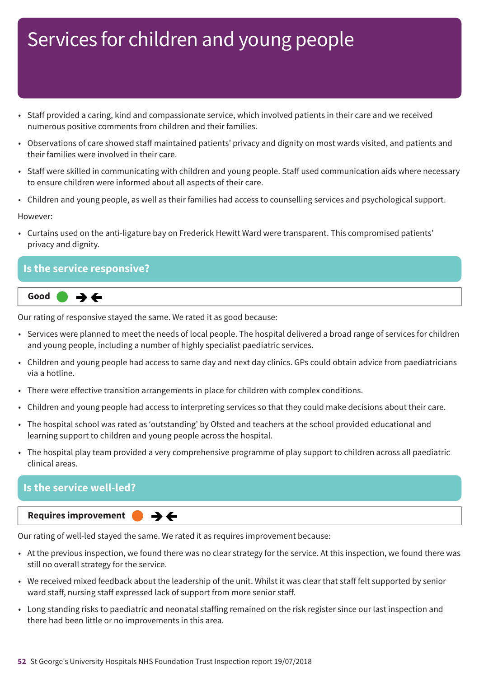- Staff provided a caring, kind and compassionate service, which involved patients in their care and we received numerous positive comments from children and their families.
- Observations of care showed staff maintained patients' privacy and dignity on most wards visited, and patients and their families were involved in their care.
- Staff were skilled in communicating with children and young people. Staff used communication aids where necessary to ensure children were informed about all aspects of their care.
- Children and young people, as well as their families had access to counselling services and psychological support.

#### However:

• Curtains used on the anti-ligature bay on Frederick Hewitt Ward were transparent. This compromised patients' privacy and dignity.

### **Is the service responsive?**



Our rating of responsive stayed the same. We rated it as good because:

- Services were planned to meet the needs of local people. The hospital delivered a broad range of services for children and young people, including a number of highly specialist paediatric services.
- Children and young people had access to same day and next day clinics. GPs could obtain advice from paediatricians via a hotline.
- There were effective transition arrangements in place for children with complex conditions.
- Children and young people had access to interpreting services so that they could make decisions about their care.
- The hospital school was rated as 'outstanding' by Ofsted and teachers at the school provided educational and learning support to children and young people across the hospital.
- The hospital play team provided a very comprehensive programme of play support to children across all paediatric clinical areas.

### **Is the service well-led?**

**Requires improvement** 

Our rating of well-led stayed the same. We rated it as requires improvement because:

 $\rightarrow$   $\leftarrow$ 

- At the previous inspection, we found there was no clear strategy for the service. At this inspection, we found there was still no overall strategy for the service.
- We received mixed feedback about the leadership of the unit. Whilst it was clear that staff felt supported by senior ward staff, nursing staff expressed lack of support from more senior staff.
- Long standing risks to paediatric and neonatal staffing remained on the risk register since our last inspection and there had been little or no improvements in this area.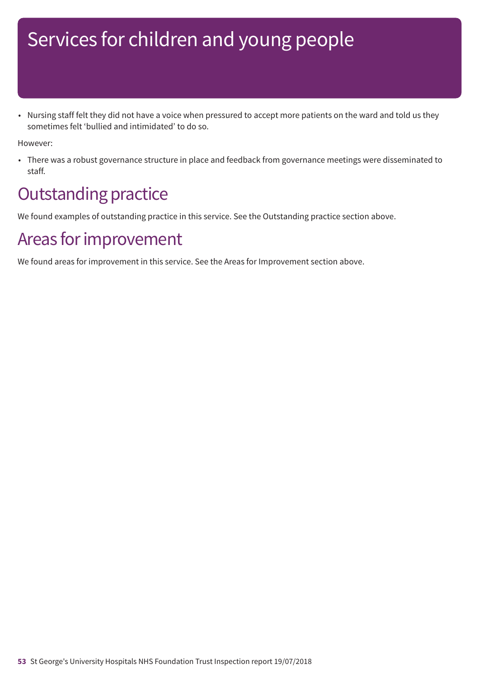• Nursing staff felt they did not have a voice when pressured to accept more patients on the ward and told us they sometimes felt 'bullied and intimidated' to do so.

However:

• There was a robust governance structure in place and feedback from governance meetings were disseminated to staff.

## **Outstanding practice**

We found examples of outstanding practice in this service. See the Outstanding practice section above.

## Areas for improvement

We found areas for improvement in this service. See the Areas for Improvement section above.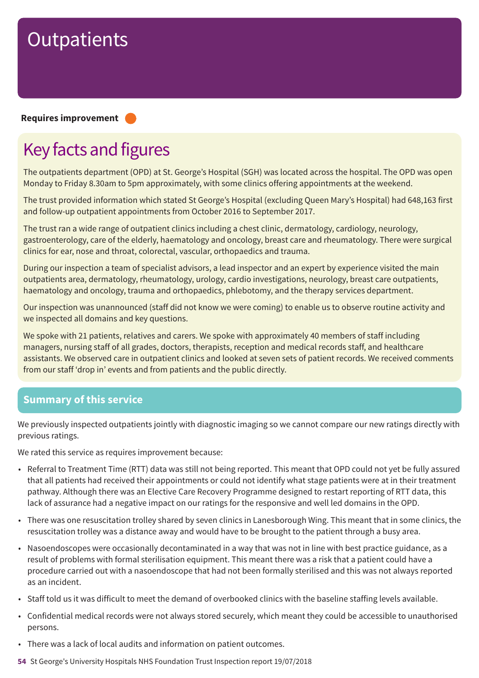#### **Requires improvement –––**

## Key facts and figures

The outpatients department (OPD) at St. George's Hospital (SGH) was located across the hospital. The OPD was open Monday to Friday 8.30am to 5pm approximately, with some clinics offering appointments at the weekend.

The trust provided information which stated St George's Hospital (excluding Queen Mary's Hospital) had 648,163 first and follow-up outpatient appointments from October 2016 to September 2017.

The trust ran a wide range of outpatient clinics including a chest clinic, dermatology, cardiology, neurology, gastroenterology, care of the elderly, haematology and oncology, breast care and rheumatology. There were surgical clinics for ear, nose and throat, colorectal, vascular, orthopaedics and trauma.

During our inspection a team of specialist advisors, a lead inspector and an expert by experience visited the main outpatients area, dermatology, rheumatology, urology, cardio investigations, neurology, breast care outpatients, haematology and oncology, trauma and orthopaedics, phlebotomy, and the therapy services department.

Our inspection was unannounced (staff did not know we were coming) to enable us to observe routine activity and we inspected all domains and key questions.

We spoke with 21 patients, relatives and carers. We spoke with approximately 40 members of staff including managers, nursing staff of all grades, doctors, therapists, reception and medical records staff, and healthcare assistants. We observed care in outpatient clinics and looked at seven sets of patient records. We received comments from our staff 'drop in' events and from patients and the public directly.

### **Summary of this service**

We previously inspected outpatients jointly with diagnostic imaging so we cannot compare our new ratings directly with previous ratings.

We rated this service as requires improvement because:

- Referral to Treatment Time (RTT) data was still not being reported. This meant that OPD could not yet be fully assured that all patients had received their appointments or could not identify what stage patients were at in their treatment pathway. Although there was an Elective Care Recovery Programme designed to restart reporting of RTT data, this lack of assurance had a negative impact on our ratings for the responsive and well led domains in the OPD.
- There was one resuscitation trolley shared by seven clinics in Lanesborough Wing. This meant that in some clinics, the resuscitation trolley was a distance away and would have to be brought to the patient through a busy area.
- Nasoendoscopes were occasionally decontaminated in a way that was not in line with best practice guidance, as a result of problems with formal sterilisation equipment. This meant there was a risk that a patient could have a procedure carried out with a nasoendoscope that had not been formally sterilised and this was not always reported as an incident.
- Staff told us it was difficult to meet the demand of overbooked clinics with the baseline staffing levels available.
- Confidential medical records were not always stored securely, which meant they could be accessible to unauthorised persons.
- There was a lack of local audits and information on patient outcomes.
- **54** St George's University Hospitals NHS Foundation Trust Inspection report 19/07/2018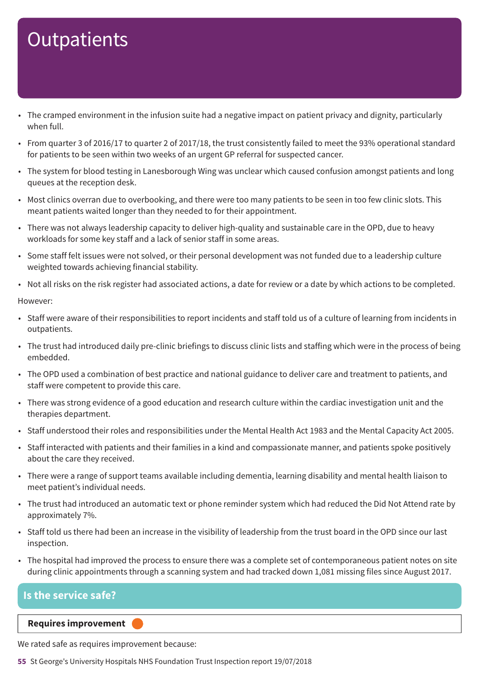- The cramped environment in the infusion suite had a negative impact on patient privacy and dignity, particularly when full.
- From quarter 3 of 2016/17 to quarter 2 of 2017/18, the trust consistently failed to meet the 93% operational standard for patients to be seen within two weeks of an urgent GP referral for suspected cancer.
- The system for blood testing in Lanesborough Wing was unclear which caused confusion amongst patients and long queues at the reception desk.
- Most clinics overran due to overbooking, and there were too many patients to be seen in too few clinic slots. This meant patients waited longer than they needed to for their appointment.
- There was not always leadership capacity to deliver high-quality and sustainable care in the OPD, due to heavy workloads for some key staff and a lack of senior staff in some areas.
- Some staff felt issues were not solved, or their personal development was not funded due to a leadership culture weighted towards achieving financial stability.
- Not all risks on the risk register had associated actions, a date for review or a date by which actions to be completed.

However:

- Staff were aware of their responsibilities to report incidents and staff told us of a culture of learning from incidents in outpatients.
- The trust had introduced daily pre-clinic briefings to discuss clinic lists and staffing which were in the process of being embedded.
- The OPD used a combination of best practice and national guidance to deliver care and treatment to patients, and staff were competent to provide this care.
- There was strong evidence of a good education and research culture within the cardiac investigation unit and the therapies department.
- Staff understood their roles and responsibilities under the Mental Health Act 1983 and the Mental Capacity Act 2005.
- Staff interacted with patients and their families in a kind and compassionate manner, and patients spoke positively about the care they received.
- There were a range of support teams available including dementia, learning disability and mental health liaison to meet patient's individual needs.
- The trust had introduced an automatic text or phone reminder system which had reduced the Did Not Attend rate by approximately 7%.
- Staff told us there had been an increase in the visibility of leadership from the trust board in the OPD since our last inspection.
- The hospital had improved the process to ensure there was a complete set of contemporaneous patient notes on site during clinic appointments through a scanning system and had tracked down 1,081 missing files since August 2017.

### **Is the service safe?**

### **Requires improvement –––**

We rated safe as requires improvement because:

**55** St George's University Hospitals NHS Foundation Trust Inspection report 19/07/2018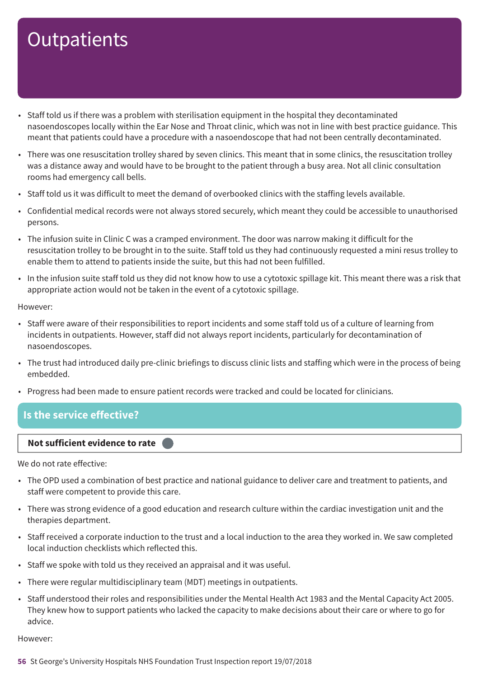- Staff told us if there was a problem with sterilisation equipment in the hospital they decontaminated nasoendoscopes locally within the Ear Nose and Throat clinic, which was not in line with best practice guidance. This meant that patients could have a procedure with a nasoendoscope that had not been centrally decontaminated.
- There was one resuscitation trolley shared by seven clinics. This meant that in some clinics, the resuscitation trolley was a distance away and would have to be brought to the patient through a busy area. Not all clinic consultation rooms had emergency call bells.
- Staff told us it was difficult to meet the demand of overbooked clinics with the staffing levels available.
- Confidential medical records were not always stored securely, which meant they could be accessible to unauthorised persons.
- The infusion suite in Clinic C was a cramped environment. The door was narrow making it difficult for the resuscitation trolley to be brought in to the suite. Staff told us they had continuously requested a mini resus trolley to enable them to attend to patients inside the suite, but this had not been fulfilled.
- In the infusion suite staff told us they did not know how to use a cytotoxic spillage kit. This meant there was a risk that appropriate action would not be taken in the event of a cytotoxic spillage.

However:

- Staff were aware of their responsibilities to report incidents and some staff told us of a culture of learning from incidents in outpatients. However, staff did not always report incidents, particularly for decontamination of nasoendoscopes.
- The trust had introduced daily pre-clinic briefings to discuss clinic lists and staffing which were in the process of being embedded.
- Progress had been made to ensure patient records were tracked and could be located for clinicians.

### **Is the service effective?**

### **Not sufficient evidence to rate –––**

We do not rate effective:

- The OPD used a combination of best practice and national guidance to deliver care and treatment to patients, and staff were competent to provide this care.
- There was strong evidence of a good education and research culture within the cardiac investigation unit and the therapies department.
- Staff received a corporate induction to the trust and a local induction to the area they worked in. We saw completed local induction checklists which reflected this.
- Staff we spoke with told us they received an appraisal and it was useful.
- There were regular multidisciplinary team (MDT) meetings in outpatients.
- Staff understood their roles and responsibilities under the Mental Health Act 1983 and the Mental Capacity Act 2005. They knew how to support patients who lacked the capacity to make decisions about their care or where to go for advice.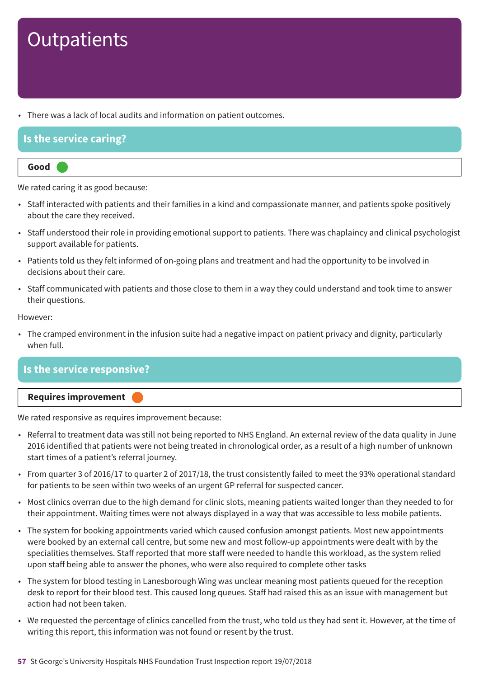• There was a lack of local audits and information on patient outcomes.

### **Is the service caring?**

### **Good –––**

We rated caring it as good because:

- Staff interacted with patients and their families in a kind and compassionate manner, and patients spoke positively about the care they received.
- Staff understood their role in providing emotional support to patients. There was chaplaincy and clinical psychologist support available for patients.
- Patients told us they felt informed of on-going plans and treatment and had the opportunity to be involved in decisions about their care.
- Staff communicated with patients and those close to them in a way they could understand and took time to answer their questions.

#### However:

• The cramped environment in the infusion suite had a negative impact on patient privacy and dignity, particularly when full.

### **Is the service responsive?**



We rated responsive as requires improvement because:

- Referral to treatment data was still not being reported to NHS England. An external review of the data quality in June 2016 identified that patients were not being treated in chronological order, as a result of a high number of unknown start times of a patient's referral journey.
- From quarter 3 of 2016/17 to quarter 2 of 2017/18, the trust consistently failed to meet the 93% operational standard for patients to be seen within two weeks of an urgent GP referral for suspected cancer.
- Most clinics overran due to the high demand for clinic slots, meaning patients waited longer than they needed to for their appointment. Waiting times were not always displayed in a way that was accessible to less mobile patients.
- The system for booking appointments varied which caused confusion amongst patients. Most new appointments were booked by an external call centre, but some new and most follow-up appointments were dealt with by the specialities themselves. Staff reported that more staff were needed to handle this workload, as the system relied upon staff being able to answer the phones, who were also required to complete other tasks
- The system for blood testing in Lanesborough Wing was unclear meaning most patients queued for the reception desk to report for their blood test. This caused long queues. Staff had raised this as an issue with management but action had not been taken.
- We requested the percentage of clinics cancelled from the trust, who told us they had sent it. However, at the time of writing this report, this information was not found or resent by the trust.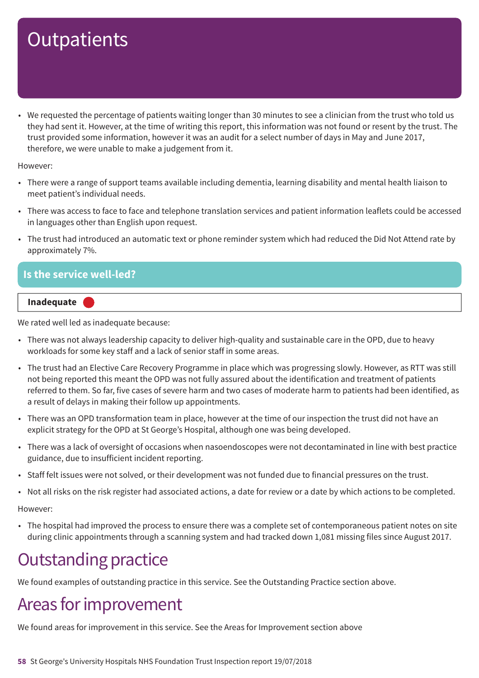• We requested the percentage of patients waiting longer than 30 minutes to see a clinician from the trust who told us they had sent it. However, at the time of writing this report, this information was not found or resent by the trust. The trust provided some information, however it was an audit for a select number of days in May and June 2017, therefore, we were unable to make a judgement from it.

However:

- There were a range of support teams available including dementia, learning disability and mental health liaison to meet patient's individual needs.
- There was access to face to face and telephone translation services and patient information leaflets could be accessed in languages other than English upon request.
- The trust had introduced an automatic text or phone reminder system which had reduced the Did Not Attend rate by approximately 7%.

### **Is the service well-led?**



We rated well led as inadequate because:

- There was not always leadership capacity to deliver high-quality and sustainable care in the OPD, due to heavy workloads for some key staff and a lack of senior staff in some areas.
- The trust had an Elective Care Recovery Programme in place which was progressing slowly. However, as RTT was still not being reported this meant the OPD was not fully assured about the identification and treatment of patients referred to them. So far, five cases of severe harm and two cases of moderate harm to patients had been identified, as a result of delays in making their follow up appointments.
- There was an OPD transformation team in place, however at the time of our inspection the trust did not have an explicit strategy for the OPD at St George's Hospital, although one was being developed.
- There was a lack of oversight of occasions when nasoendoscopes were not decontaminated in line with best practice guidance, due to insufficient incident reporting.
- Staff felt issues were not solved, or their development was not funded due to financial pressures on the trust.
- Not all risks on the risk register had associated actions, a date for review or a date by which actions to be completed.

However:

• The hospital had improved the process to ensure there was a complete set of contemporaneous patient notes on site during clinic appointments through a scanning system and had tracked down 1,081 missing files since August 2017.

## **Outstanding practice**

We found examples of outstanding practice in this service. See the Outstanding Practice section above.

### Areas for improvement

We found areas for improvement in this service. See the Areas for Improvement section above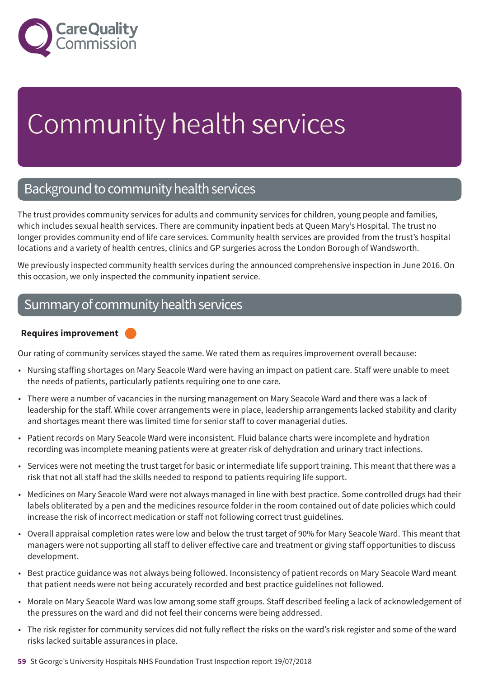

# Community health services

### Background to community health services

The trust provides community services for adults and community services for children, young people and families, which includes sexual health services. There are community inpatient beds at Queen Mary's Hospital. The trust no longer provides community end of life care services. Community health services are provided from the trust's hospital locations and a variety of health centres, clinics and GP surgeries across the London Borough of Wandsworth.

We previously inspected community health services during the announced comprehensive inspection in June 2016. On this occasion, we only inspected the community inpatient service.

### Summary of community health services

### **Requires improvement –––**

Our rating of community services stayed the same. We rated them as requires improvement overall because:

- Nursing staffing shortages on Mary Seacole Ward were having an impact on patient care. Staff were unable to meet the needs of patients, particularly patients requiring one to one care.
- There were a number of vacancies in the nursing management on Mary Seacole Ward and there was a lack of leadership for the staff. While cover arrangements were in place, leadership arrangements lacked stability and clarity and shortages meant there was limited time for senior staff to cover managerial duties.
- Patient records on Mary Seacole Ward were inconsistent. Fluid balance charts were incomplete and hydration recording was incomplete meaning patients were at greater risk of dehydration and urinary tract infections.
- Services were not meeting the trust target for basic or intermediate life support training. This meant that there was a risk that not all staff had the skills needed to respond to patients requiring life support.
- Medicines on Mary Seacole Ward were not always managed in line with best practice. Some controlled drugs had their labels obliterated by a pen and the medicines resource folder in the room contained out of date policies which could increase the risk of incorrect medication or staff not following correct trust guidelines.
- Overall appraisal completion rates were low and below the trust target of 90% for Mary Seacole Ward. This meant that managers were not supporting all staff to deliver effective care and treatment or giving staff opportunities to discuss development.
- Best practice guidance was not always being followed. Inconsistency of patient records on Mary Seacole Ward meant that patient needs were not being accurately recorded and best practice guidelines not followed.
- Morale on Mary Seacole Ward was low among some staff groups. Staff described feeling a lack of acknowledgement of the pressures on the ward and did not feel their concerns were being addressed.
- The risk register for community services did not fully reflect the risks on the ward's risk register and some of the ward risks lacked suitable assurances in place.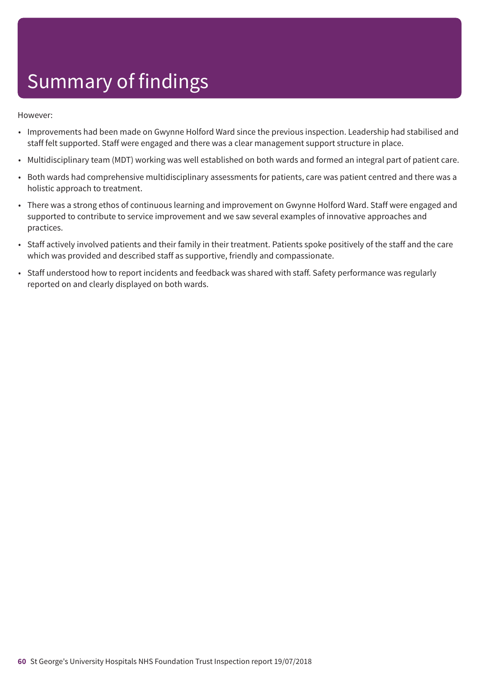- Improvements had been made on Gwynne Holford Ward since the previous inspection. Leadership had stabilised and staff felt supported. Staff were engaged and there was a clear management support structure in place.
- Multidisciplinary team (MDT) working was well established on both wards and formed an integral part of patient care.
- Both wards had comprehensive multidisciplinary assessments for patients, care was patient centred and there was a holistic approach to treatment.
- There was a strong ethos of continuous learning and improvement on Gwynne Holford Ward. Staff were engaged and supported to contribute to service improvement and we saw several examples of innovative approaches and practices.
- Staff actively involved patients and their family in their treatment. Patients spoke positively of the staff and the care which was provided and described staff as supportive, friendly and compassionate.
- Staff understood how to report incidents and feedback was shared with staff. Safety performance was regularly reported on and clearly displayed on both wards.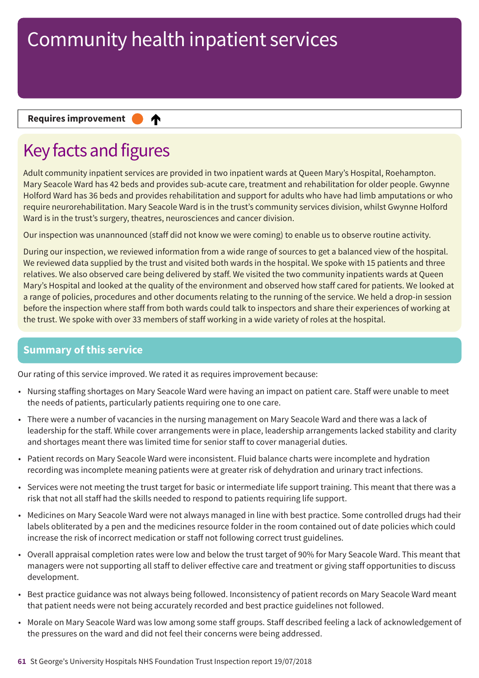₳

#### **Requires improvement**

## Key facts and figures

Adult community inpatient services are provided in two inpatient wards at Queen Mary's Hospital, Roehampton. Mary Seacole Ward has 42 beds and provides sub-acute care, treatment and rehabilitation for older people. Gwynne Holford Ward has 36 beds and provides rehabilitation and support for adults who have had limb amputations or who require neurorehabilitation. Mary Seacole Ward is in the trust's community services division, whilst Gwynne Holford Ward is in the trust's surgery, theatres, neurosciences and cancer division.

Our inspection was unannounced (staff did not know we were coming) to enable us to observe routine activity.

During our inspection, we reviewed information from a wide range of sources to get a balanced view of the hospital. We reviewed data supplied by the trust and visited both wards in the hospital. We spoke with 15 patients and three relatives. We also observed care being delivered by staff. We visited the two community inpatients wards at Queen Mary's Hospital and looked at the quality of the environment and observed how staff cared for patients. We looked at a range of policies, procedures and other documents relating to the running of the service. We held a drop-in session before the inspection where staff from both wards could talk to inspectors and share their experiences of working at the trust. We spoke with over 33 members of staff working in a wide variety of roles at the hospital.

### **Summary of this service**

Our rating of this service improved. We rated it as requires improvement because:

- Nursing staffing shortages on Mary Seacole Ward were having an impact on patient care. Staff were unable to meet the needs of patients, particularly patients requiring one to one care.
- There were a number of vacancies in the nursing management on Mary Seacole Ward and there was a lack of leadership for the staff. While cover arrangements were in place, leadership arrangements lacked stability and clarity and shortages meant there was limited time for senior staff to cover managerial duties.
- Patient records on Mary Seacole Ward were inconsistent. Fluid balance charts were incomplete and hydration recording was incomplete meaning patients were at greater risk of dehydration and urinary tract infections.
- Services were not meeting the trust target for basic or intermediate life support training. This meant that there was a risk that not all staff had the skills needed to respond to patients requiring life support.
- Medicines on Mary Seacole Ward were not always managed in line with best practice. Some controlled drugs had their labels obliterated by a pen and the medicines resource folder in the room contained out of date policies which could increase the risk of incorrect medication or staff not following correct trust guidelines.
- Overall appraisal completion rates were low and below the trust target of 90% for Mary Seacole Ward. This meant that managers were not supporting all staff to deliver effective care and treatment or giving staff opportunities to discuss development.
- Best practice guidance was not always being followed. Inconsistency of patient records on Mary Seacole Ward meant that patient needs were not being accurately recorded and best practice guidelines not followed.
- Morale on Mary Seacole Ward was low among some staff groups. Staff described feeling a lack of acknowledgement of the pressures on the ward and did not feel their concerns were being addressed.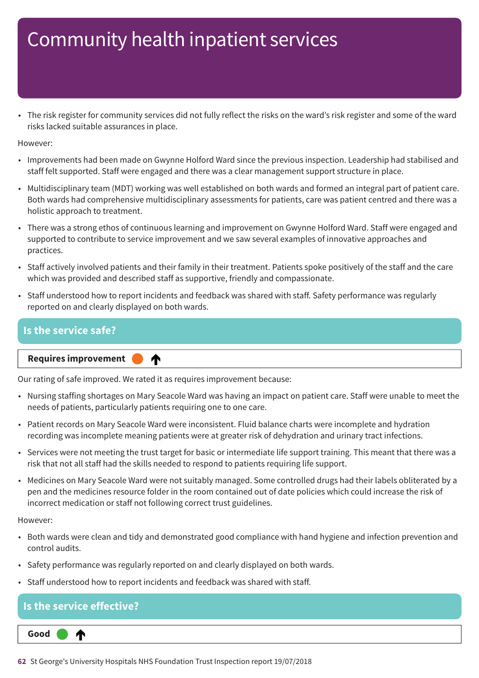• The risk register for community services did not fully reflect the risks on the ward's risk register and some of the ward risks lacked suitable assurances in place.

However:

- Improvements had been made on Gwynne Holford Ward since the previous inspection. Leadership had stabilised and staff felt supported. Staff were engaged and there was a clear management support structure in place.
- Multidisciplinary team (MDT) working was well established on both wards and formed an integral part of patient care. Both wards had comprehensive multidisciplinary assessments for patients, care was patient centred and there was a holistic approach to treatment.
- There was a strong ethos of continuous learning and improvement on Gwynne Holford Ward. Staff were engaged and supported to contribute to service improvement and we saw several examples of innovative approaches and practices.
- Staff actively involved patients and their family in their treatment. Patients spoke positively of the staff and the care which was provided and described staff as supportive, friendly and compassionate.
- Staff understood how to report incidents and feedback was shared with staff. Safety performance was regularly reported on and clearly displayed on both wards.

### **Is the service safe?**

**Requires improvement** 

Our rating of safe improved. We rated it as requires improvement because:

♠

- Nursing staffing shortages on Mary Seacole Ward was having an impact on patient care. Staff were unable to meet the needs of patients, particularly patients requiring one to one care.
- Patient records on Mary Seacole Ward were inconsistent. Fluid balance charts were incomplete and hydration recording was incomplete meaning patients were at greater risk of dehydration and urinary tract infections.
- Services were not meeting the trust target for basic or intermediate life support training. This meant that there was a risk that not all staff had the skills needed to respond to patients requiring life support.
- Medicines on Mary Seacole Ward were not suitably managed. Some controlled drugs had their labels obliterated by a pen and the medicines resource folder in the room contained out of date policies which could increase the risk of incorrect medication or staff not following correct trust guidelines.

However:

- Both wards were clean and tidy and demonstrated good compliance with hand hygiene and infection prevention and control audits.
- Safety performance was regularly reported on and clearly displayed on both wards.
- Staff understood how to report incidents and feedback was shared with staff.

## **Is the service effective?**

**Up one rating Good –––** ⋔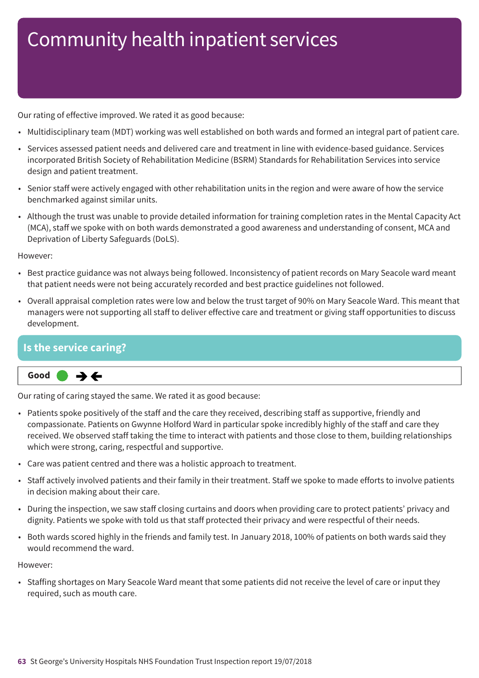Our rating of effective improved. We rated it as good because:

- Multidisciplinary team (MDT) working was well established on both wards and formed an integral part of patient care.
- Services assessed patient needs and delivered care and treatment in line with evidence-based guidance. Services incorporated British Society of Rehabilitation Medicine (BSRM) Standards for Rehabilitation Services into service design and patient treatment.
- Senior staff were actively engaged with other rehabilitation units in the region and were aware of how the service benchmarked against similar units.
- Although the trust was unable to provide detailed information for training completion rates in the Mental Capacity Act (MCA), staff we spoke with on both wards demonstrated a good awareness and understanding of consent, MCA and Deprivation of Liberty Safeguards (DoLS).

However:

- Best practice guidance was not always being followed. Inconsistency of patient records on Mary Seacole ward meant that patient needs were not being accurately recorded and best practice guidelines not followed.
- Overall appraisal completion rates were low and below the trust target of 90% on Mary Seacole Ward. This meant that managers were not supporting all staff to deliver effective care and treatment or giving staff opportunities to discuss development.

### **Is the service caring?**



Our rating of caring stayed the same. We rated it as good because:

- Patients spoke positively of the staff and the care they received, describing staff as supportive, friendly and compassionate. Patients on Gwynne Holford Ward in particular spoke incredibly highly of the staff and care they received. We observed staff taking the time to interact with patients and those close to them, building relationships which were strong, caring, respectful and supportive.
- Care was patient centred and there was a holistic approach to treatment.
- Staff actively involved patients and their family in their treatment. Staff we spoke to made efforts to involve patients in decision making about their care.
- During the inspection, we saw staff closing curtains and doors when providing care to protect patients' privacy and dignity. Patients we spoke with told us that staff protected their privacy and were respectful of their needs.
- Both wards scored highly in the friends and family test. In January 2018, 100% of patients on both wards said they would recommend the ward.

However:

• Staffing shortages on Mary Seacole Ward meant that some patients did not receive the level of care or input they required, such as mouth care.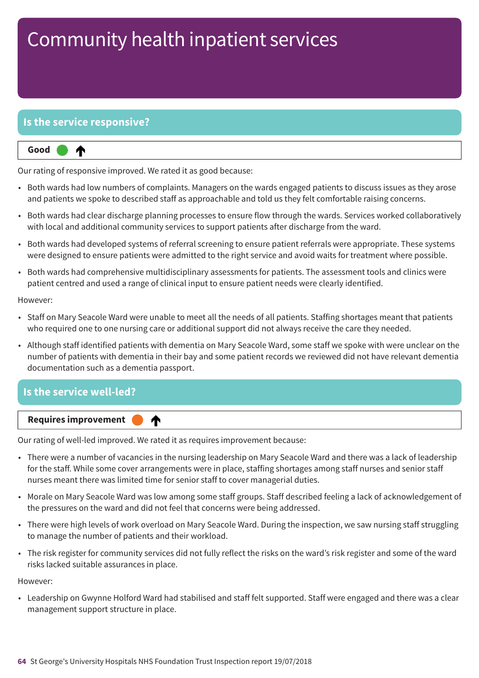### **Is the service responsive?**



Our rating of responsive improved. We rated it as good because:

- Both wards had low numbers of complaints. Managers on the wards engaged patients to discuss issues as they arose and patients we spoke to described staff as approachable and told us they felt comfortable raising concerns.
- Both wards had clear discharge planning processes to ensure flow through the wards. Services worked collaboratively with local and additional community services to support patients after discharge from the ward.
- Both wards had developed systems of referral screening to ensure patient referrals were appropriate. These systems were designed to ensure patients were admitted to the right service and avoid waits for treatment where possible.
- Both wards had comprehensive multidisciplinary assessments for patients. The assessment tools and clinics were patient centred and used a range of clinical input to ensure patient needs were clearly identified.

However:

- Staff on Mary Seacole Ward were unable to meet all the needs of all patients. Staffing shortages meant that patients who required one to one nursing care or additional support did not always receive the care they needed.
- Although staff identified patients with dementia on Mary Seacole Ward, some staff we spoke with were unclear on the number of patients with dementia in their bay and some patient records we reviewed did not have relevant dementia documentation such as a dementia passport.

# **Is the service well-led?**

**Up one rating Requires improvement –––** ♠

Our rating of well-led improved. We rated it as requires improvement because:

- There were a number of vacancies in the nursing leadership on Mary Seacole Ward and there was a lack of leadership for the staff. While some cover arrangements were in place, staffing shortages among staff nurses and senior staff nurses meant there was limited time for senior staff to cover managerial duties.
- Morale on Mary Seacole Ward was low among some staff groups. Staff described feeling a lack of acknowledgement of the pressures on the ward and did not feel that concerns were being addressed.
- There were high levels of work overload on Mary Seacole Ward. During the inspection, we saw nursing staff struggling to manage the number of patients and their workload.
- The risk register for community services did not fully reflect the risks on the ward's risk register and some of the ward risks lacked suitable assurances in place.

However:

• Leadership on Gwynne Holford Ward had stabilised and staff felt supported. Staff were engaged and there was a clear management support structure in place.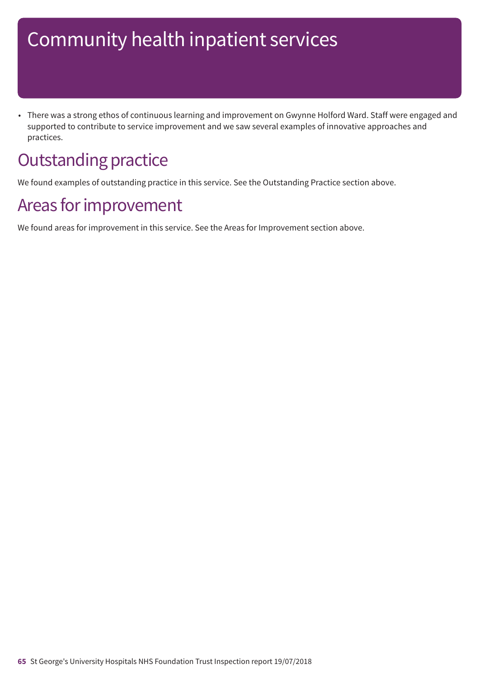• There was a strong ethos of continuous learning and improvement on Gwynne Holford Ward. Staff were engaged and supported to contribute to service improvement and we saw several examples of innovative approaches and practices.

## **Outstanding practice**

We found examples of outstanding practice in this service. See the Outstanding Practice section above.

### Areas for improvement

We found areas for improvement in this service. See the Areas for Improvement section above.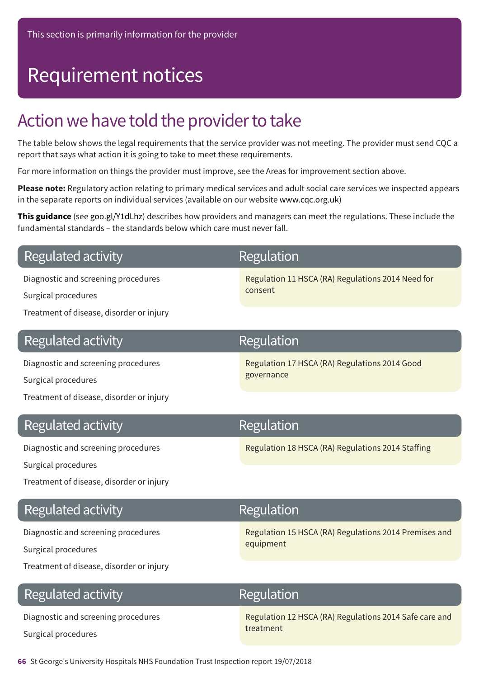## Requirement notices

## Action we have told the provider to take

The table below shows the legal requirements that the service provider was not meeting. The provider must send CQC a report that says what action it is going to take to meet these requirements.

For more information on things the provider must improve, see the Areas for improvement section above.

**Please note:** Regulatory action relating to primary medical services and adult social care services we inspected appears in the separate reports on individual services (available on our website www.cqc.org.uk)

**This guidance** (see goo.gl/Y1dLhz) describes how providers and managers can meet the regulations. These include the fundamental standards – the standards below which care must never fall.

### **Regulated activity**

Diagnostic and screening procedures

Surgical procedures

Treatment of disease, disorder or injury

### **Regulated activity**

Diagnostic and screening procedures

Surgical procedures

Treatment of disease, disorder or injury

### **Regulated activity**

Diagnostic and screening procedures

Surgical procedures

Treatment of disease, disorder or injury

### Regulated activity

Diagnostic and screening procedures

Surgical procedures

Treatment of disease, disorder or injury

### **Regulated activity**

Diagnostic and screening procedures Surgical procedures

## Regulation

Regulation 11 HSCA (RA) Regulations 2014 Need for consent

## Regulation

Regulation 17 HSCA (RA) Regulations 2014 Good governance

### Regulation

Regulation 18 HSCA (RA) Regulations 2014 Staffing

### Regulation

Regulation 15 HSCA (RA) Regulations 2014 Premises and equipment

### Regulation

Regulation 12 HSCA (RA) Regulations 2014 Safe care and treatment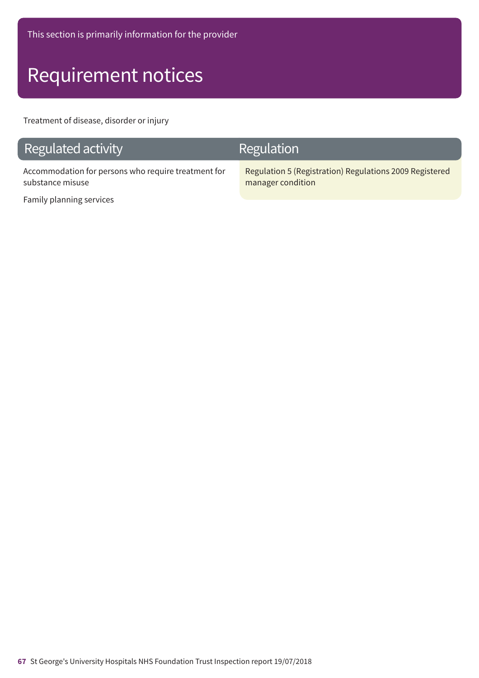## Requirement notices

Treatment of disease, disorder or injury

### Regulated activity

Accommodation for persons who require treatment for substance misuse

### Regulation

Regulation 5 (Registration) Regulations 2009 Registered manager condition

Family planning services